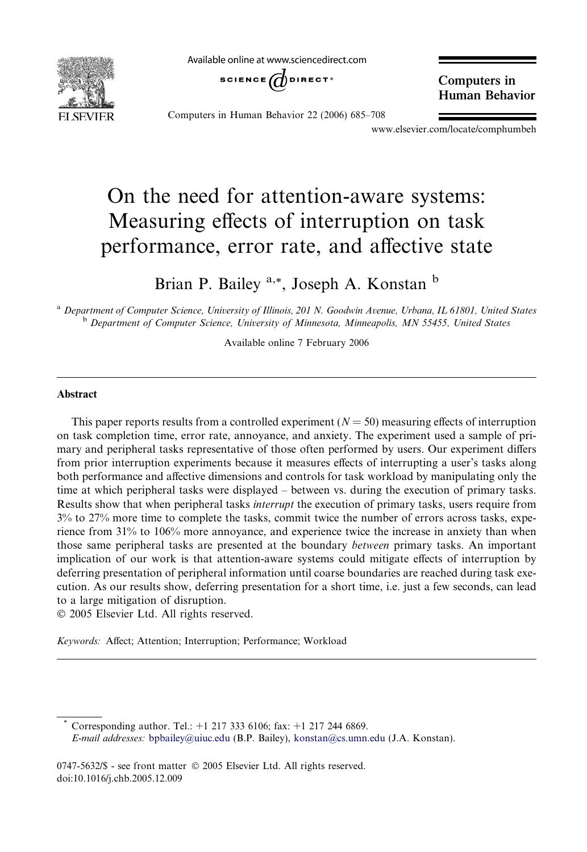

Available online at www.sciencedirect.com



Computers in Human Behavior 22 (2006) 685–708

Computers in Human Behavior

www.elsevier.com/locate/comphumbeh

# On the need for attention-aware systems: Measuring effects of interruption on task performance, error rate, and affective state

Brian P. Bailey  $a_{\alpha *}$ , Joseph A. Konstan  $b$ 

a Department of Computer Science, University of Illinois, 201 N. Goodwin Avenue, Urbana, IL 61801, United States <sup>b</sup> Department of Computer Science, University of Minnesota, Minneapolis, MN 55455, United States

Available online 7 February 2006

#### Abstract

This paper reports results from a controlled experiment ( $N = 50$ ) measuring effects of interruption on task completion time, error rate, annoyance, and anxiety. The experiment used a sample of primary and peripheral tasks representative of those often performed by users. Our experiment differs from prior interruption experiments because it measures effects of interrupting a user's tasks along both performance and affective dimensions and controls for task workload by manipulating only the time at which peripheral tasks were displayed – between vs. during the execution of primary tasks. Results show that when peripheral tasks interrupt the execution of primary tasks, users require from 3% to 27% more time to complete the tasks, commit twice the number of errors across tasks, experience from 31% to 106% more annoyance, and experience twice the increase in anxiety than when those same peripheral tasks are presented at the boundary between primary tasks. An important implication of our work is that attention-aware systems could mitigate effects of interruption by deferring presentation of peripheral information until coarse boundaries are reached during task execution. As our results show, deferring presentation for a short time, i.e. just a few seconds, can lead to a large mitigation of disruption.

2005 Elsevier Ltd. All rights reserved.

Keywords: Affect; Attention; Interruption; Performance; Workload

Corresponding author. Tel.:  $+1$  217 333 6106; fax:  $+1$  217 244 6869. E-mail addresses: [bpbailey@uiuc.edu](mailto:bpbailey@uiuc.edu) (B.P. Bailey), [konstan@cs.umn.edu](mailto:konstan@cs.umn.edu) (J.A. Konstan).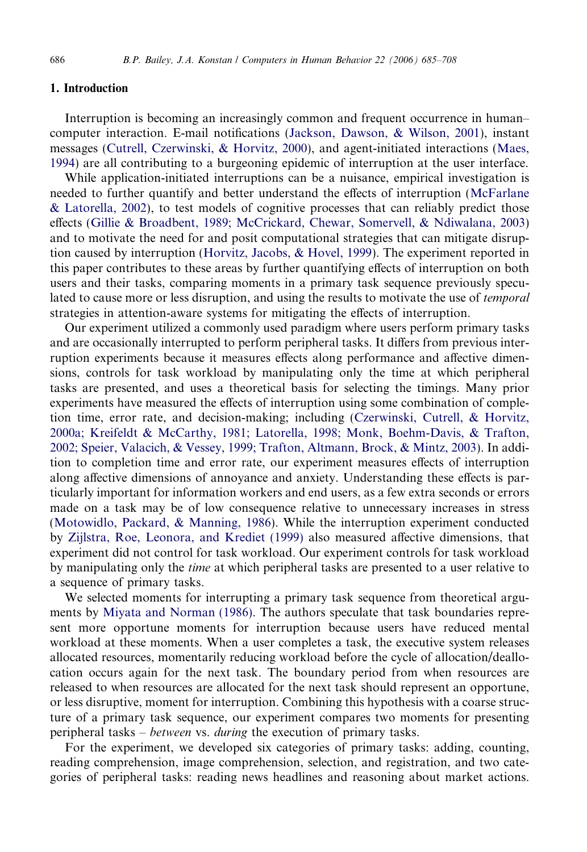#### 1. Introduction

Interruption is becoming an increasingly common and frequent occurrence in human– computer interaction. E-mail notifications ([Jackson, Dawson, & Wilson, 2001\)](#page-22-0), instant messages [\(Cutrell, Czerwinski, & Horvitz, 2000](#page-21-0)), and agent-initiated interactions ([Maes,](#page-22-0) [1994\)](#page-22-0) are all contributing to a burgeoning epidemic of interruption at the user interface.

While application-initiated interruptions can be a nuisance, empirical investigation is needed to further quantify and better understand the effects of interruption ([McFarlane](#page-22-0) [& Latorella, 2002\)](#page-22-0), to test models of cognitive processes that can reliably predict those effects [\(Gillie & Broadbent, 1989; McCrickard, Chewar, Somervell, & Ndiwalana, 2003](#page-22-0)) and to motivate the need for and posit computational strategies that can mitigate disruption caused by interruption [\(Horvitz, Jacobs, & Hovel, 1999\)](#page-22-0). The experiment reported in this paper contributes to these areas by further quantifying effects of interruption on both users and their tasks, comparing moments in a primary task sequence previously speculated to cause more or less disruption, and using the results to motivate the use of *temporal* strategies in attention-aware systems for mitigating the effects of interruption.

Our experiment utilized a commonly used paradigm where users perform primary tasks and are occasionally interrupted to perform peripheral tasks. It differs from previous interruption experiments because it measures effects along performance and affective dimensions, controls for task workload by manipulating only the time at which peripheral tasks are presented, and uses a theoretical basis for selecting the timings. Many prior experiments have measured the effects of interruption using some combination of completion time, error rate, and decision-making; including ([Czerwinski, Cutrell, & Horvitz,](#page-21-0) [2000a; Kreifeldt & McCarthy, 1981; Latorella, 1998; Monk, Boehm-Davis, & Trafton,](#page-21-0) [2002; Speier, Valacich, & Vessey, 1999; Trafton, Altmann, Brock, & Mintz, 2003](#page-21-0)). In addition to completion time and error rate, our experiment measures effects of interruption along affective dimensions of annoyance and anxiety. Understanding these effects is particularly important for information workers and end users, as a few extra seconds or errors made on a task may be of low consequence relative to unnecessary increases in stress [\(Motowidlo, Packard, & Manning, 1986](#page-22-0)). While the interruption experiment conducted by [Zijlstra, Roe, Leonora, and Krediet \(1999\)](#page-23-0) also measured affective dimensions, that experiment did not control for task workload. Our experiment controls for task workload by manipulating only the time at which peripheral tasks are presented to a user relative to a sequence of primary tasks.

We selected moments for interrupting a primary task sequence from theoretical arguments by [Miyata and Norman \(1986\)](#page-22-0). The authors speculate that task boundaries represent more opportune moments for interruption because users have reduced mental workload at these moments. When a user completes a task, the executive system releases allocated resources, momentarily reducing workload before the cycle of allocation/deallocation occurs again for the next task. The boundary period from when resources are released to when resources are allocated for the next task should represent an opportune, or less disruptive, moment for interruption. Combining this hypothesis with a coarse structure of a primary task sequence, our experiment compares two moments for presenting peripheral tasks – between vs. during the execution of primary tasks.

For the experiment, we developed six categories of primary tasks: adding, counting, reading comprehension, image comprehension, selection, and registration, and two categories of peripheral tasks: reading news headlines and reasoning about market actions.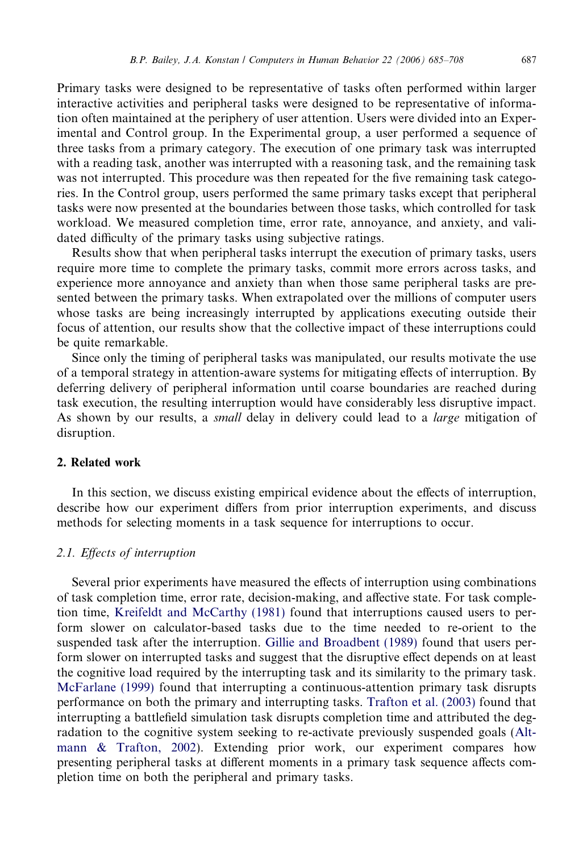Primary tasks were designed to be representative of tasks often performed within larger interactive activities and peripheral tasks were designed to be representative of information often maintained at the periphery of user attention. Users were divided into an Experimental and Control group. In the Experimental group, a user performed a sequence of three tasks from a primary category. The execution of one primary task was interrupted with a reading task, another was interrupted with a reasoning task, and the remaining task was not interrupted. This procedure was then repeated for the five remaining task categories. In the Control group, users performed the same primary tasks except that peripheral tasks were now presented at the boundaries between those tasks, which controlled for task workload. We measured completion time, error rate, annoyance, and anxiety, and validated difficulty of the primary tasks using subjective ratings.

Results show that when peripheral tasks interrupt the execution of primary tasks, users require more time to complete the primary tasks, commit more errors across tasks, and experience more annoyance and anxiety than when those same peripheral tasks are presented between the primary tasks. When extrapolated over the millions of computer users whose tasks are being increasingly interrupted by applications executing outside their focus of attention, our results show that the collective impact of these interruptions could be quite remarkable.

Since only the timing of peripheral tasks was manipulated, our results motivate the use of a temporal strategy in attention-aware systems for mitigating effects of interruption. By deferring delivery of peripheral information until coarse boundaries are reached during task execution, the resulting interruption would have considerably less disruptive impact. As shown by our results, a *small* delay in delivery could lead to a *large* mitigation of disruption.

# 2. Related work

In this section, we discuss existing empirical evidence about the effects of interruption, describe how our experiment differs from prior interruption experiments, and discuss methods for selecting moments in a task sequence for interruptions to occur.

# 2.1. Effects of interruption

Several prior experiments have measured the effects of interruption using combinations of task completion time, error rate, decision-making, and affective state. For task completion time, [Kreifeldt and McCarthy \(1981\)](#page-22-0) found that interruptions caused users to perform slower on calculator-based tasks due to the time needed to re-orient to the suspended task after the interruption. [Gillie and Broadbent \(1989\)](#page-22-0) found that users perform slower on interrupted tasks and suggest that the disruptive effect depends on at least the cognitive load required by the interrupting task and its similarity to the primary task. [McFarlane \(1999\)](#page-22-0) found that interrupting a continuous-attention primary task disrupts performance on both the primary and interrupting tasks. [Trafton et al. \(2003\)](#page-23-0) found that interrupting a battlefield simulation task disrupts completion time and attributed the degradation to the cognitive system seeking to re-activate previously suspended goals ([Alt](#page-21-0)[mann & Trafton, 2002\)](#page-21-0). Extending prior work, our experiment compares how presenting peripheral tasks at different moments in a primary task sequence affects completion time on both the peripheral and primary tasks.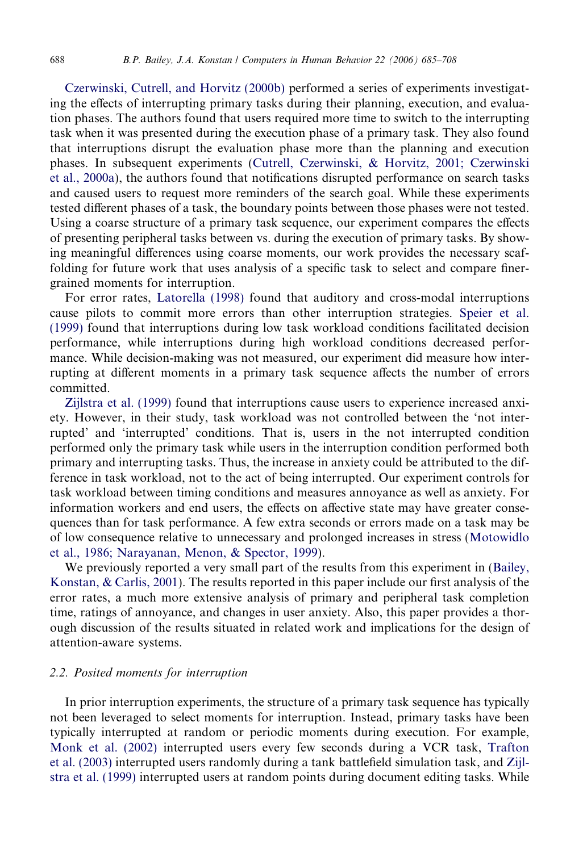[Czerwinski, Cutrell, and Horvitz \(2000b\)](#page-21-0) performed a series of experiments investigating the effects of interrupting primary tasks during their planning, execution, and evaluation phases. The authors found that users required more time to switch to the interrupting task when it was presented during the execution phase of a primary task. They also found that interruptions disrupt the evaluation phase more than the planning and execution phases. In subsequent experiments ([Cutrell, Czerwinski, & Horvitz, 2001; Czerwinski](#page-21-0) [et al., 2000a\)](#page-21-0), the authors found that notifications disrupted performance on search tasks and caused users to request more reminders of the search goal. While these experiments tested different phases of a task, the boundary points between those phases were not tested. Using a coarse structure of a primary task sequence, our experiment compares the effects of presenting peripheral tasks between vs. during the execution of primary tasks. By showing meaningful differences using coarse moments, our work provides the necessary scaffolding for future work that uses analysis of a specific task to select and compare finergrained moments for interruption.

For error rates, [Latorella \(1998\)](#page-22-0) found that auditory and cross-modal interruptions cause pilots to commit more errors than other interruption strategies. [Speier et al.](#page-23-0) [\(1999\)](#page-23-0) found that interruptions during low task workload conditions facilitated decision performance, while interruptions during high workload conditions decreased performance. While decision-making was not measured, our experiment did measure how interrupting at different moments in a primary task sequence affects the number of errors committed.

[Zijlstra et al. \(1999\)](#page-23-0) found that interruptions cause users to experience increased anxiety. However, in their study, task workload was not controlled between the 'not interrupted' and 'interrupted' conditions. That is, users in the not interrupted condition performed only the primary task while users in the interruption condition performed both primary and interrupting tasks. Thus, the increase in anxiety could be attributed to the difference in task workload, not to the act of being interrupted. Our experiment controls for task workload between timing conditions and measures annoyance as well as anxiety. For information workers and end users, the effects on affective state may have greater consequences than for task performance. A few extra seconds or errors made on a task may be of low consequence relative to unnecessary and prolonged increases in stress ([Motowidlo](#page-22-0) [et al., 1986; Narayanan, Menon, & Spector, 1999](#page-22-0)).

We previously reported a very small part of the results from this experiment in [\(Bailey,](#page-21-0) [Konstan, & Carlis, 2001](#page-21-0)). The results reported in this paper include our first analysis of the error rates, a much more extensive analysis of primary and peripheral task completion time, ratings of annoyance, and changes in user anxiety. Also, this paper provides a thorough discussion of the results situated in related work and implications for the design of attention-aware systems.

# 2.2. Posited moments for interruption

In prior interruption experiments, the structure of a primary task sequence has typically not been leveraged to select moments for interruption. Instead, primary tasks have been typically interrupted at random or periodic moments during execution. For example, [Monk et al. \(2002\)](#page-22-0) interrupted users every few seconds during a VCR task, [Trafton](#page-23-0) [et al. \(2003\)](#page-23-0) interrupted users randomly during a tank battlefield simulation task, and [Zijl](#page-23-0)[stra et al. \(1999\)](#page-23-0) interrupted users at random points during document editing tasks. While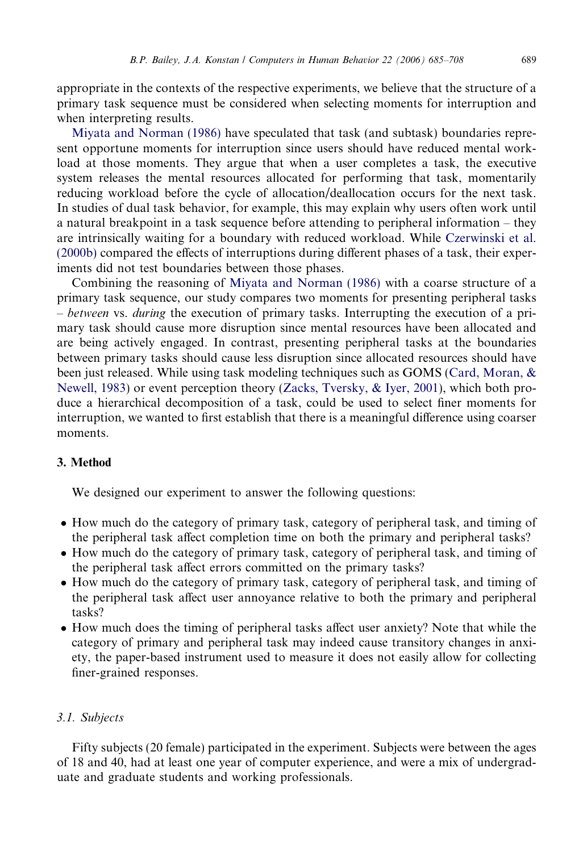appropriate in the contexts of the respective experiments, we believe that the structure of a primary task sequence must be considered when selecting moments for interruption and when interpreting results.

[Miyata and Norman \(1986\)](#page-22-0) have speculated that task (and subtask) boundaries represent opportune moments for interruption since users should have reduced mental workload at those moments. They argue that when a user completes a task, the executive system releases the mental resources allocated for performing that task, momentarily reducing workload before the cycle of allocation/deallocation occurs for the next task. In studies of dual task behavior, for example, this may explain why users often work until a natural breakpoint in a task sequence before attending to peripheral information – they are intrinsically waiting for a boundary with reduced workload. While [Czerwinski et al.](#page-21-0) [\(2000b\)](#page-21-0) compared the effects of interruptions during different phases of a task, their experiments did not test boundaries between those phases.

Combining the reasoning of [Miyata and Norman \(1986\)](#page-22-0) with a coarse structure of a primary task sequence, our study compares two moments for presenting peripheral tasks – between vs. during the execution of primary tasks. Interrupting the execution of a primary task should cause more disruption since mental resources have been allocated and are being actively engaged. In contrast, presenting peripheral tasks at the boundaries between primary tasks should cause less disruption since allocated resources should have been just released. While using task modeling techniques such as GOMS [\(Card, Moran, &](#page-21-0) [Newell, 1983](#page-21-0)) or event perception theory [\(Zacks, Tversky, & Iyer, 2001\)](#page-23-0), which both produce a hierarchical decomposition of a task, could be used to select finer moments for interruption, we wanted to first establish that there is a meaningful difference using coarser moments.

# 3. Method

We designed our experiment to answer the following questions:

- How much do the category of primary task, category of peripheral task, and timing of the peripheral task affect completion time on both the primary and peripheral tasks?
- How much do the category of primary task, category of peripheral task, and timing of the peripheral task affect errors committed on the primary tasks?
- How much do the category of primary task, category of peripheral task, and timing of the peripheral task affect user annoyance relative to both the primary and peripheral tasks?
- How much does the timing of peripheral tasks affect user anxiety? Note that while the category of primary and peripheral task may indeed cause transitory changes in anxiety, the paper-based instrument used to measure it does not easily allow for collecting finer-grained responses.

#### 3.1. Subjects

Fifty subjects (20 female) participated in the experiment. Subjects were between the ages of 18 and 40, had at least one year of computer experience, and were a mix of undergraduate and graduate students and working professionals.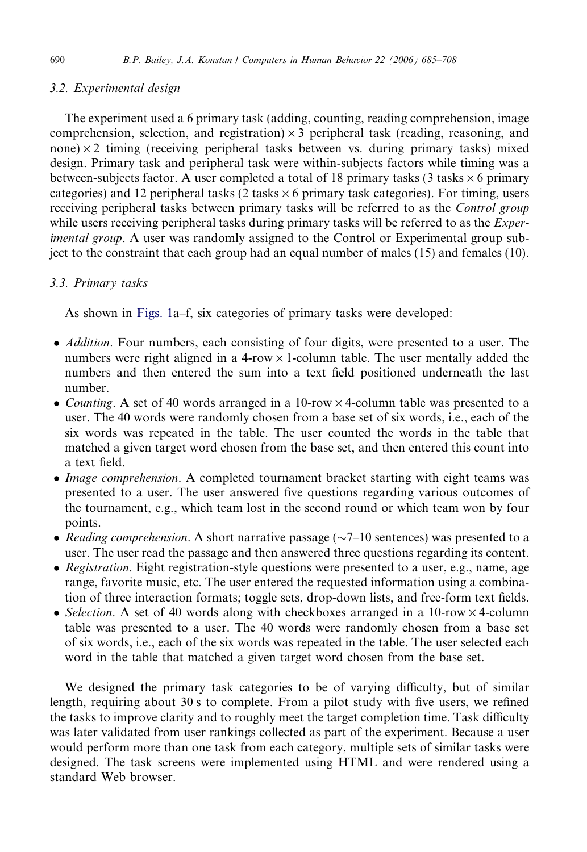#### 3.2. Experimental design

The experiment used a 6 primary task (adding, counting, reading comprehension, image comprehension, selection, and registration)  $\times$  3 peripheral task (reading, reasoning, and  $none) \times 2$  timing (receiving peripheral tasks between vs. during primary tasks) mixed design. Primary task and peripheral task were within-subjects factors while timing was a between-subjects factor. A user completed a total of 18 primary tasks (3 tasks  $\times$  6 primary categories) and 12 peripheral tasks (2 tasks  $\times$  6 primary task categories). For timing, users receiving peripheral tasks between primary tasks will be referred to as the *Control group* while users receiving peripheral tasks during primary tasks will be referred to as the  $Exper$ imental group. A user was randomly assigned to the Control or Experimental group subject to the constraint that each group had an equal number of males (15) and females (10).

#### 3.3. Primary tasks

As shown in [Figs. 1](#page-6-0)a–f, six categories of primary tasks were developed:

- *Addition*. Four numbers, each consisting of four digits, were presented to a user. The numbers were right aligned in a 4-row  $\times$  1-column table. The user mentally added the numbers and then entered the sum into a text field positioned underneath the last number.
- Counting. A set of 40 words arranged in a 10-row  $\times$  4-column table was presented to a user. The 40 words were randomly chosen from a base set of six words, i.e., each of the six words was repeated in the table. The user counted the words in the table that matched a given target word chosen from the base set, and then entered this count into a text field.
- *Image comprehension*. A completed tournament bracket starting with eight teams was presented to a user. The user answered five questions regarding various outcomes of the tournament, e.g., which team lost in the second round or which team won by four points.
- Reading comprehension. A short narrative passage ( $\sim$ 7–10 sentences) was presented to a user. The user read the passage and then answered three questions regarding its content.
- Registration. Eight registration-style questions were presented to a user, e.g., name, age range, favorite music, etc. The user entered the requested information using a combination of three interaction formats; toggle sets, drop-down lists, and free-form text fields.
- Selection. A set of 40 words along with checkboxes arranged in a 10-row  $\times$  4-column table was presented to a user. The 40 words were randomly chosen from a base set of six words, i.e., each of the six words was repeated in the table. The user selected each word in the table that matched a given target word chosen from the base set.

We designed the primary task categories to be of varying difficulty, but of similar length, requiring about 30 s to complete. From a pilot study with five users, we refined the tasks to improve clarity and to roughly meet the target completion time. Task difficulty was later validated from user rankings collected as part of the experiment. Because a user would perform more than one task from each category, multiple sets of similar tasks were designed. The task screens were implemented using HTML and were rendered using a standard Web browser.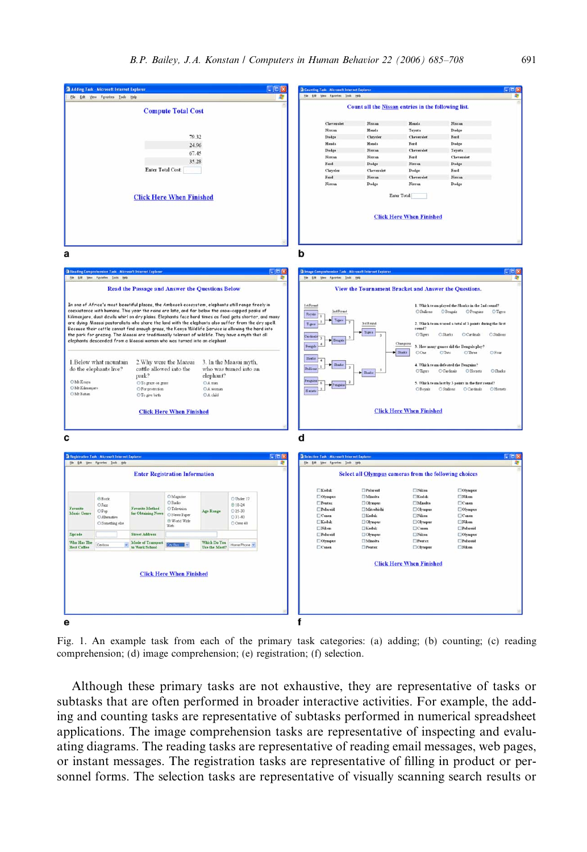<span id="page-6-0"></span>

| Ele Edt yew Fgyortes Took Heb<br>Count all the Nissan entries in the following list.<br><b>Compute Total Cost</b><br>Cheverolet<br>Nissan<br>Henda<br>Nissan<br>Dodge<br>Honda<br>Nissan<br>Teveta<br>79.32<br>Dodge<br>Chrysler<br>Cheverolet<br>Ford<br>Honda<br>Honda<br>Ford<br>Dodge<br>24.96<br>Nissan<br>Dodge<br>Cheverolet<br>Tovota<br>67.45<br>Nissan<br>Nissan<br>Ford<br>Cheverolet<br>35.28<br>$\mbox{Ford}$<br>Dødge<br>Nissan<br>Dodge<br><b>Enter Total Cost:</b><br>Cheverslet<br>Claygler<br>Dedge<br>Ford<br>Ford<br>Nissan<br>Cheverolet<br>Nissan<br>Nissan<br>Dodge<br>Dodge<br>Nissan<br>Enter Total:<br><b>Click Here When Finished</b><br><b>Click Here When Finished</b><br>b<br>a<br>ding Comprehension Task - Microsoft Internet Explorer<br>ge Comprehension Task Microsoft Internet Explorer<br>Edit Your Favorites Tools Help<br>Ele Edit you Fgrontes Tools Help<br>Pás:<br>Read the Passage and Answer the Questions Below<br>View the Tournament Bracket and Answer the Questions.<br>In one of Africa's most beautiful places, the Amboseli ecosystem, elephants still range freely in<br>1 et Round<br>1. Which team played the Sharks in the 2nd round?<br>coexistence with humans. This year the rains are late, and far below the snow-capped peaks of<br>2nd Round<br>Bengals<br>Penguns<br>O Stallons<br>Royals<br>Kilimanjaro, dust devils whirl on dry plains. Elephants face hard times as food gets shorter, and many<br>Tigri<br>are dying. Maasai pastoralists who share the land with the elephants also suffer from the dry spell.<br>3rd Round<br>2. Which team scored a total of 3 points during the first<br>Tige<br>Because their cattle cannot find enough grass, the Kenya Wildlife Service is allowing the herd into<br>round?<br>Tipri<br>the park for grazing. The Maasai are traditionally tolerant of wildlife. They have a myth that all<br>O Tigers<br>C Sharks<br>O Cardinals<br>C Stalloon<br>elephants descended from a Maasai woman who was turned into an elephant<br>Changione<br>3. How many games did the Bengals play?<br><b>Sharks</b><br>OOse<br>OTwo<br>OThree<br>1. Below what mountain<br>2. Why were the Maasai<br>3. In the Maasai myth,<br>4. Which team defeated the Penguins?<br>cattle allowed into the<br>who was turned into an<br>do the elephants live?<br>O Tigers<br>O Cardinals<br><b>O</b> Homets<br><b>Sharks</b><br>park?<br>elephant?<br>OM: Kenya<br>OTo graze on grass<br>O A man<br>5. Which team lost by 3 points in the first round?<br>OM: Kilmanjaro<br>O For protection<br>O Stallions O Cardinals<br>CA woman<br>O Royals<br><b>Horset</b><br>OM: Batian<br>OTo give birth<br>O A child<br><b>Click Here When Finished</b><br><b>Click Here When Finished</b><br>d<br>c<br>Registration Task - Microsoft Internet Explorer<br>Selection Task - Microsoft Internet Explorer<br>Ele Edt Vew Fgvortes Iook Help<br>Ele Edt yew Fgrontes Tools Help<br><b>Enter Registration Information</b><br>Select all Olympus cameras from the following choices<br><b>Exodak</b><br>$\Box$ Polaroid<br>$\Box$ Nikon<br>□ Olympus<br>O Magazine<br><b>Obrapus</b><br><b>TM</b> inolta<br><b>TKodak</b><br><b>TNikon</b><br>O Rock<br>O Under 17<br>O Radio<br>$\Box$ Pentax<br>Olympus<br><b>N</b> Imolta<br>$\Box$ Canon<br>$O$ Jazz<br>$@18-24$<br><b>Favorite Method</b><br>O Television<br>Favorite<br><b>FIP</b> olarmid<br><b>TM</b> firsulashi<br>Obaspus<br>Olympus<br>○25-30<br>OPop<br>Age Range<br>Music Genre<br>for Obtaining News<br>O News Paper<br>$\Box$ Canon<br>$\Box$ Nikon<br><b>E</b> kodak<br>$\Box$ Canon<br>$\bigcirc$ Alternative<br>$O$ 31-40<br>@ World Wide<br><b>FINikon</b><br><b>Filipped</b><br><b>DO</b> hmsus<br>Obaspus<br>O Over 40<br>O Something else<br>Web<br>$\Box$ Nikon<br>$\square$ Kodak<br>$\Box$ Polaroid<br>$\Box$ Canon<br><b>Street Address</b><br><b>TNiken</b><br>Zipcode<br>Pelaroid<br>Obmpus<br><b>Obmpus</b><br>Olympus<br><b>Ninolta</b><br>$\Box$ Pentax<br>$\Box$ Polaroid<br>Who Has The<br>Mode of Transport<br>Which Do You<br>Caribou<br>Home Phone<br>Y<br>Canon<br><b>CONTEGRE</b><br><b>TNikon</b><br><b>Rest Coffee</b><br>to Work/School<br>Use the Most?<br>Pentax<br><b>Click Here When Finished</b><br><b>Click Here When Finished</b> | Adding Task - Microsoft Internet Explorer |  | CIOIX | Counting Task - Microsoft Internet Explorer |  |  |          |                 |
|--------------------------------------------------------------------------------------------------------------------------------------------------------------------------------------------------------------------------------------------------------------------------------------------------------------------------------------------------------------------------------------------------------------------------------------------------------------------------------------------------------------------------------------------------------------------------------------------------------------------------------------------------------------------------------------------------------------------------------------------------------------------------------------------------------------------------------------------------------------------------------------------------------------------------------------------------------------------------------------------------------------------------------------------------------------------------------------------------------------------------------------------------------------------------------------------------------------------------------------------------------------------------------------------------------------------------------------------------------------------------------------------------------------------------------------------------------------------------------------------------------------------------------------------------------------------------------------------------------------------------------------------------------------------------------------------------------------------------------------------------------------------------------------------------------------------------------------------------------------------------------------------------------------------------------------------------------------------------------------------------------------------------------------------------------------------------------------------------------------------------------------------------------------------------------------------------------------------------------------------------------------------------------------------------------------------------------------------------------------------------------------------------------------------------------------------------------------------------------------------------------------------------------------------------------------------------------------------------------------------------------------------------------------------------------------------------------------------------------------------------------------------------------------------------------------------------------------------------------------------------------------------------------------------------------------------------------------------------------------------------------------------------------------------------------------------------------------------------------------------------------------------------------------------------------------------------------------------------------------------------------------------------------------------------------------------------------------------------------------------------------------------------------------------------------------------------------------------------------------------------------------------------------------------------------------------------------------------------------------------------------------------------------------------------------------------------------------------------------------------------------------------------------------------------------------------------------------------------------------------------------------------------------------------------------------------------------------------------------------------------------------------------------------------------------------------------------------------------------------------------------------------------------------------------------------------------------------------------------------------------------------------------------------------------------|-------------------------------------------|--|-------|---------------------------------------------|--|--|----------|-----------------|
|                                                                                                                                                                                                                                                                                                                                                                                                                                                                                                                                                                                                                                                                                                                                                                                                                                                                                                                                                                                                                                                                                                                                                                                                                                                                                                                                                                                                                                                                                                                                                                                                                                                                                                                                                                                                                                                                                                                                                                                                                                                                                                                                                                                                                                                                                                                                                                                                                                                                                                                                                                                                                                                                                                                                                                                                                                                                                                                                                                                                                                                                                                                                                                                                                                                                                                                                                                                                                                                                                                                                                                                                                                                                                                                                                                                                                                                                                                                                                                                                                                                                                                                                                                                                                                                                                                        | Ele Edt Vew Favorites Tools Help          |  | n     |                                             |  |  |          |                 |
|                                                                                                                                                                                                                                                                                                                                                                                                                                                                                                                                                                                                                                                                                                                                                                                                                                                                                                                                                                                                                                                                                                                                                                                                                                                                                                                                                                                                                                                                                                                                                                                                                                                                                                                                                                                                                                                                                                                                                                                                                                                                                                                                                                                                                                                                                                                                                                                                                                                                                                                                                                                                                                                                                                                                                                                                                                                                                                                                                                                                                                                                                                                                                                                                                                                                                                                                                                                                                                                                                                                                                                                                                                                                                                                                                                                                                                                                                                                                                                                                                                                                                                                                                                                                                                                                                                        |                                           |  |       |                                             |  |  |          |                 |
|                                                                                                                                                                                                                                                                                                                                                                                                                                                                                                                                                                                                                                                                                                                                                                                                                                                                                                                                                                                                                                                                                                                                                                                                                                                                                                                                                                                                                                                                                                                                                                                                                                                                                                                                                                                                                                                                                                                                                                                                                                                                                                                                                                                                                                                                                                                                                                                                                                                                                                                                                                                                                                                                                                                                                                                                                                                                                                                                                                                                                                                                                                                                                                                                                                                                                                                                                                                                                                                                                                                                                                                                                                                                                                                                                                                                                                                                                                                                                                                                                                                                                                                                                                                                                                                                                                        |                                           |  |       |                                             |  |  |          |                 |
|                                                                                                                                                                                                                                                                                                                                                                                                                                                                                                                                                                                                                                                                                                                                                                                                                                                                                                                                                                                                                                                                                                                                                                                                                                                                                                                                                                                                                                                                                                                                                                                                                                                                                                                                                                                                                                                                                                                                                                                                                                                                                                                                                                                                                                                                                                                                                                                                                                                                                                                                                                                                                                                                                                                                                                                                                                                                                                                                                                                                                                                                                                                                                                                                                                                                                                                                                                                                                                                                                                                                                                                                                                                                                                                                                                                                                                                                                                                                                                                                                                                                                                                                                                                                                                                                                                        |                                           |  |       |                                             |  |  |          |                 |
|                                                                                                                                                                                                                                                                                                                                                                                                                                                                                                                                                                                                                                                                                                                                                                                                                                                                                                                                                                                                                                                                                                                                                                                                                                                                                                                                                                                                                                                                                                                                                                                                                                                                                                                                                                                                                                                                                                                                                                                                                                                                                                                                                                                                                                                                                                                                                                                                                                                                                                                                                                                                                                                                                                                                                                                                                                                                                                                                                                                                                                                                                                                                                                                                                                                                                                                                                                                                                                                                                                                                                                                                                                                                                                                                                                                                                                                                                                                                                                                                                                                                                                                                                                                                                                                                                                        |                                           |  |       |                                             |  |  |          |                 |
|                                                                                                                                                                                                                                                                                                                                                                                                                                                                                                                                                                                                                                                                                                                                                                                                                                                                                                                                                                                                                                                                                                                                                                                                                                                                                                                                                                                                                                                                                                                                                                                                                                                                                                                                                                                                                                                                                                                                                                                                                                                                                                                                                                                                                                                                                                                                                                                                                                                                                                                                                                                                                                                                                                                                                                                                                                                                                                                                                                                                                                                                                                                                                                                                                                                                                                                                                                                                                                                                                                                                                                                                                                                                                                                                                                                                                                                                                                                                                                                                                                                                                                                                                                                                                                                                                                        |                                           |  |       |                                             |  |  |          |                 |
|                                                                                                                                                                                                                                                                                                                                                                                                                                                                                                                                                                                                                                                                                                                                                                                                                                                                                                                                                                                                                                                                                                                                                                                                                                                                                                                                                                                                                                                                                                                                                                                                                                                                                                                                                                                                                                                                                                                                                                                                                                                                                                                                                                                                                                                                                                                                                                                                                                                                                                                                                                                                                                                                                                                                                                                                                                                                                                                                                                                                                                                                                                                                                                                                                                                                                                                                                                                                                                                                                                                                                                                                                                                                                                                                                                                                                                                                                                                                                                                                                                                                                                                                                                                                                                                                                                        |                                           |  |       |                                             |  |  |          |                 |
|                                                                                                                                                                                                                                                                                                                                                                                                                                                                                                                                                                                                                                                                                                                                                                                                                                                                                                                                                                                                                                                                                                                                                                                                                                                                                                                                                                                                                                                                                                                                                                                                                                                                                                                                                                                                                                                                                                                                                                                                                                                                                                                                                                                                                                                                                                                                                                                                                                                                                                                                                                                                                                                                                                                                                                                                                                                                                                                                                                                                                                                                                                                                                                                                                                                                                                                                                                                                                                                                                                                                                                                                                                                                                                                                                                                                                                                                                                                                                                                                                                                                                                                                                                                                                                                                                                        |                                           |  |       |                                             |  |  |          |                 |
|                                                                                                                                                                                                                                                                                                                                                                                                                                                                                                                                                                                                                                                                                                                                                                                                                                                                                                                                                                                                                                                                                                                                                                                                                                                                                                                                                                                                                                                                                                                                                                                                                                                                                                                                                                                                                                                                                                                                                                                                                                                                                                                                                                                                                                                                                                                                                                                                                                                                                                                                                                                                                                                                                                                                                                                                                                                                                                                                                                                                                                                                                                                                                                                                                                                                                                                                                                                                                                                                                                                                                                                                                                                                                                                                                                                                                                                                                                                                                                                                                                                                                                                                                                                                                                                                                                        |                                           |  |       |                                             |  |  |          |                 |
|                                                                                                                                                                                                                                                                                                                                                                                                                                                                                                                                                                                                                                                                                                                                                                                                                                                                                                                                                                                                                                                                                                                                                                                                                                                                                                                                                                                                                                                                                                                                                                                                                                                                                                                                                                                                                                                                                                                                                                                                                                                                                                                                                                                                                                                                                                                                                                                                                                                                                                                                                                                                                                                                                                                                                                                                                                                                                                                                                                                                                                                                                                                                                                                                                                                                                                                                                                                                                                                                                                                                                                                                                                                                                                                                                                                                                                                                                                                                                                                                                                                                                                                                                                                                                                                                                                        |                                           |  |       |                                             |  |  |          |                 |
|                                                                                                                                                                                                                                                                                                                                                                                                                                                                                                                                                                                                                                                                                                                                                                                                                                                                                                                                                                                                                                                                                                                                                                                                                                                                                                                                                                                                                                                                                                                                                                                                                                                                                                                                                                                                                                                                                                                                                                                                                                                                                                                                                                                                                                                                                                                                                                                                                                                                                                                                                                                                                                                                                                                                                                                                                                                                                                                                                                                                                                                                                                                                                                                                                                                                                                                                                                                                                                                                                                                                                                                                                                                                                                                                                                                                                                                                                                                                                                                                                                                                                                                                                                                                                                                                                                        |                                           |  |       |                                             |  |  |          |                 |
|                                                                                                                                                                                                                                                                                                                                                                                                                                                                                                                                                                                                                                                                                                                                                                                                                                                                                                                                                                                                                                                                                                                                                                                                                                                                                                                                                                                                                                                                                                                                                                                                                                                                                                                                                                                                                                                                                                                                                                                                                                                                                                                                                                                                                                                                                                                                                                                                                                                                                                                                                                                                                                                                                                                                                                                                                                                                                                                                                                                                                                                                                                                                                                                                                                                                                                                                                                                                                                                                                                                                                                                                                                                                                                                                                                                                                                                                                                                                                                                                                                                                                                                                                                                                                                                                                                        |                                           |  |       |                                             |  |  |          |                 |
|                                                                                                                                                                                                                                                                                                                                                                                                                                                                                                                                                                                                                                                                                                                                                                                                                                                                                                                                                                                                                                                                                                                                                                                                                                                                                                                                                                                                                                                                                                                                                                                                                                                                                                                                                                                                                                                                                                                                                                                                                                                                                                                                                                                                                                                                                                                                                                                                                                                                                                                                                                                                                                                                                                                                                                                                                                                                                                                                                                                                                                                                                                                                                                                                                                                                                                                                                                                                                                                                                                                                                                                                                                                                                                                                                                                                                                                                                                                                                                                                                                                                                                                                                                                                                                                                                                        |                                           |  |       |                                             |  |  |          |                 |
|                                                                                                                                                                                                                                                                                                                                                                                                                                                                                                                                                                                                                                                                                                                                                                                                                                                                                                                                                                                                                                                                                                                                                                                                                                                                                                                                                                                                                                                                                                                                                                                                                                                                                                                                                                                                                                                                                                                                                                                                                                                                                                                                                                                                                                                                                                                                                                                                                                                                                                                                                                                                                                                                                                                                                                                                                                                                                                                                                                                                                                                                                                                                                                                                                                                                                                                                                                                                                                                                                                                                                                                                                                                                                                                                                                                                                                                                                                                                                                                                                                                                                                                                                                                                                                                                                                        |                                           |  |       |                                             |  |  |          |                 |
|                                                                                                                                                                                                                                                                                                                                                                                                                                                                                                                                                                                                                                                                                                                                                                                                                                                                                                                                                                                                                                                                                                                                                                                                                                                                                                                                                                                                                                                                                                                                                                                                                                                                                                                                                                                                                                                                                                                                                                                                                                                                                                                                                                                                                                                                                                                                                                                                                                                                                                                                                                                                                                                                                                                                                                                                                                                                                                                                                                                                                                                                                                                                                                                                                                                                                                                                                                                                                                                                                                                                                                                                                                                                                                                                                                                                                                                                                                                                                                                                                                                                                                                                                                                                                                                                                                        |                                           |  |       |                                             |  |  |          |                 |
|                                                                                                                                                                                                                                                                                                                                                                                                                                                                                                                                                                                                                                                                                                                                                                                                                                                                                                                                                                                                                                                                                                                                                                                                                                                                                                                                                                                                                                                                                                                                                                                                                                                                                                                                                                                                                                                                                                                                                                                                                                                                                                                                                                                                                                                                                                                                                                                                                                                                                                                                                                                                                                                                                                                                                                                                                                                                                                                                                                                                                                                                                                                                                                                                                                                                                                                                                                                                                                                                                                                                                                                                                                                                                                                                                                                                                                                                                                                                                                                                                                                                                                                                                                                                                                                                                                        |                                           |  |       |                                             |  |  |          |                 |
|                                                                                                                                                                                                                                                                                                                                                                                                                                                                                                                                                                                                                                                                                                                                                                                                                                                                                                                                                                                                                                                                                                                                                                                                                                                                                                                                                                                                                                                                                                                                                                                                                                                                                                                                                                                                                                                                                                                                                                                                                                                                                                                                                                                                                                                                                                                                                                                                                                                                                                                                                                                                                                                                                                                                                                                                                                                                                                                                                                                                                                                                                                                                                                                                                                                                                                                                                                                                                                                                                                                                                                                                                                                                                                                                                                                                                                                                                                                                                                                                                                                                                                                                                                                                                                                                                                        |                                           |  |       |                                             |  |  |          |                 |
|                                                                                                                                                                                                                                                                                                                                                                                                                                                                                                                                                                                                                                                                                                                                                                                                                                                                                                                                                                                                                                                                                                                                                                                                                                                                                                                                                                                                                                                                                                                                                                                                                                                                                                                                                                                                                                                                                                                                                                                                                                                                                                                                                                                                                                                                                                                                                                                                                                                                                                                                                                                                                                                                                                                                                                                                                                                                                                                                                                                                                                                                                                                                                                                                                                                                                                                                                                                                                                                                                                                                                                                                                                                                                                                                                                                                                                                                                                                                                                                                                                                                                                                                                                                                                                                                                                        |                                           |  |       |                                             |  |  |          | OTigers         |
|                                                                                                                                                                                                                                                                                                                                                                                                                                                                                                                                                                                                                                                                                                                                                                                                                                                                                                                                                                                                                                                                                                                                                                                                                                                                                                                                                                                                                                                                                                                                                                                                                                                                                                                                                                                                                                                                                                                                                                                                                                                                                                                                                                                                                                                                                                                                                                                                                                                                                                                                                                                                                                                                                                                                                                                                                                                                                                                                                                                                                                                                                                                                                                                                                                                                                                                                                                                                                                                                                                                                                                                                                                                                                                                                                                                                                                                                                                                                                                                                                                                                                                                                                                                                                                                                                                        |                                           |  |       |                                             |  |  |          |                 |
|                                                                                                                                                                                                                                                                                                                                                                                                                                                                                                                                                                                                                                                                                                                                                                                                                                                                                                                                                                                                                                                                                                                                                                                                                                                                                                                                                                                                                                                                                                                                                                                                                                                                                                                                                                                                                                                                                                                                                                                                                                                                                                                                                                                                                                                                                                                                                                                                                                                                                                                                                                                                                                                                                                                                                                                                                                                                                                                                                                                                                                                                                                                                                                                                                                                                                                                                                                                                                                                                                                                                                                                                                                                                                                                                                                                                                                                                                                                                                                                                                                                                                                                                                                                                                                                                                                        |                                           |  |       |                                             |  |  |          |                 |
|                                                                                                                                                                                                                                                                                                                                                                                                                                                                                                                                                                                                                                                                                                                                                                                                                                                                                                                                                                                                                                                                                                                                                                                                                                                                                                                                                                                                                                                                                                                                                                                                                                                                                                                                                                                                                                                                                                                                                                                                                                                                                                                                                                                                                                                                                                                                                                                                                                                                                                                                                                                                                                                                                                                                                                                                                                                                                                                                                                                                                                                                                                                                                                                                                                                                                                                                                                                                                                                                                                                                                                                                                                                                                                                                                                                                                                                                                                                                                                                                                                                                                                                                                                                                                                                                                                        |                                           |  |       |                                             |  |  |          |                 |
|                                                                                                                                                                                                                                                                                                                                                                                                                                                                                                                                                                                                                                                                                                                                                                                                                                                                                                                                                                                                                                                                                                                                                                                                                                                                                                                                                                                                                                                                                                                                                                                                                                                                                                                                                                                                                                                                                                                                                                                                                                                                                                                                                                                                                                                                                                                                                                                                                                                                                                                                                                                                                                                                                                                                                                                                                                                                                                                                                                                                                                                                                                                                                                                                                                                                                                                                                                                                                                                                                                                                                                                                                                                                                                                                                                                                                                                                                                                                                                                                                                                                                                                                                                                                                                                                                                        |                                           |  |       |                                             |  |  |          |                 |
|                                                                                                                                                                                                                                                                                                                                                                                                                                                                                                                                                                                                                                                                                                                                                                                                                                                                                                                                                                                                                                                                                                                                                                                                                                                                                                                                                                                                                                                                                                                                                                                                                                                                                                                                                                                                                                                                                                                                                                                                                                                                                                                                                                                                                                                                                                                                                                                                                                                                                                                                                                                                                                                                                                                                                                                                                                                                                                                                                                                                                                                                                                                                                                                                                                                                                                                                                                                                                                                                                                                                                                                                                                                                                                                                                                                                                                                                                                                                                                                                                                                                                                                                                                                                                                                                                                        |                                           |  |       |                                             |  |  |          |                 |
|                                                                                                                                                                                                                                                                                                                                                                                                                                                                                                                                                                                                                                                                                                                                                                                                                                                                                                                                                                                                                                                                                                                                                                                                                                                                                                                                                                                                                                                                                                                                                                                                                                                                                                                                                                                                                                                                                                                                                                                                                                                                                                                                                                                                                                                                                                                                                                                                                                                                                                                                                                                                                                                                                                                                                                                                                                                                                                                                                                                                                                                                                                                                                                                                                                                                                                                                                                                                                                                                                                                                                                                                                                                                                                                                                                                                                                                                                                                                                                                                                                                                                                                                                                                                                                                                                                        |                                           |  |       |                                             |  |  |          | $O$ Four        |
|                                                                                                                                                                                                                                                                                                                                                                                                                                                                                                                                                                                                                                                                                                                                                                                                                                                                                                                                                                                                                                                                                                                                                                                                                                                                                                                                                                                                                                                                                                                                                                                                                                                                                                                                                                                                                                                                                                                                                                                                                                                                                                                                                                                                                                                                                                                                                                                                                                                                                                                                                                                                                                                                                                                                                                                                                                                                                                                                                                                                                                                                                                                                                                                                                                                                                                                                                                                                                                                                                                                                                                                                                                                                                                                                                                                                                                                                                                                                                                                                                                                                                                                                                                                                                                                                                                        |                                           |  |       |                                             |  |  |          |                 |
|                                                                                                                                                                                                                                                                                                                                                                                                                                                                                                                                                                                                                                                                                                                                                                                                                                                                                                                                                                                                                                                                                                                                                                                                                                                                                                                                                                                                                                                                                                                                                                                                                                                                                                                                                                                                                                                                                                                                                                                                                                                                                                                                                                                                                                                                                                                                                                                                                                                                                                                                                                                                                                                                                                                                                                                                                                                                                                                                                                                                                                                                                                                                                                                                                                                                                                                                                                                                                                                                                                                                                                                                                                                                                                                                                                                                                                                                                                                                                                                                                                                                                                                                                                                                                                                                                                        |                                           |  |       |                                             |  |  | C Sharks |                 |
|                                                                                                                                                                                                                                                                                                                                                                                                                                                                                                                                                                                                                                                                                                                                                                                                                                                                                                                                                                                                                                                                                                                                                                                                                                                                                                                                                                                                                                                                                                                                                                                                                                                                                                                                                                                                                                                                                                                                                                                                                                                                                                                                                                                                                                                                                                                                                                                                                                                                                                                                                                                                                                                                                                                                                                                                                                                                                                                                                                                                                                                                                                                                                                                                                                                                                                                                                                                                                                                                                                                                                                                                                                                                                                                                                                                                                                                                                                                                                                                                                                                                                                                                                                                                                                                                                                        |                                           |  |       |                                             |  |  |          |                 |
|                                                                                                                                                                                                                                                                                                                                                                                                                                                                                                                                                                                                                                                                                                                                                                                                                                                                                                                                                                                                                                                                                                                                                                                                                                                                                                                                                                                                                                                                                                                                                                                                                                                                                                                                                                                                                                                                                                                                                                                                                                                                                                                                                                                                                                                                                                                                                                                                                                                                                                                                                                                                                                                                                                                                                                                                                                                                                                                                                                                                                                                                                                                                                                                                                                                                                                                                                                                                                                                                                                                                                                                                                                                                                                                                                                                                                                                                                                                                                                                                                                                                                                                                                                                                                                                                                                        |                                           |  |       |                                             |  |  |          |                 |
|                                                                                                                                                                                                                                                                                                                                                                                                                                                                                                                                                                                                                                                                                                                                                                                                                                                                                                                                                                                                                                                                                                                                                                                                                                                                                                                                                                                                                                                                                                                                                                                                                                                                                                                                                                                                                                                                                                                                                                                                                                                                                                                                                                                                                                                                                                                                                                                                                                                                                                                                                                                                                                                                                                                                                                                                                                                                                                                                                                                                                                                                                                                                                                                                                                                                                                                                                                                                                                                                                                                                                                                                                                                                                                                                                                                                                                                                                                                                                                                                                                                                                                                                                                                                                                                                                                        |                                           |  |       |                                             |  |  |          | <b>CHarnets</b> |
|                                                                                                                                                                                                                                                                                                                                                                                                                                                                                                                                                                                                                                                                                                                                                                                                                                                                                                                                                                                                                                                                                                                                                                                                                                                                                                                                                                                                                                                                                                                                                                                                                                                                                                                                                                                                                                                                                                                                                                                                                                                                                                                                                                                                                                                                                                                                                                                                                                                                                                                                                                                                                                                                                                                                                                                                                                                                                                                                                                                                                                                                                                                                                                                                                                                                                                                                                                                                                                                                                                                                                                                                                                                                                                                                                                                                                                                                                                                                                                                                                                                                                                                                                                                                                                                                                                        |                                           |  |       |                                             |  |  |          |                 |
|                                                                                                                                                                                                                                                                                                                                                                                                                                                                                                                                                                                                                                                                                                                                                                                                                                                                                                                                                                                                                                                                                                                                                                                                                                                                                                                                                                                                                                                                                                                                                                                                                                                                                                                                                                                                                                                                                                                                                                                                                                                                                                                                                                                                                                                                                                                                                                                                                                                                                                                                                                                                                                                                                                                                                                                                                                                                                                                                                                                                                                                                                                                                                                                                                                                                                                                                                                                                                                                                                                                                                                                                                                                                                                                                                                                                                                                                                                                                                                                                                                                                                                                                                                                                                                                                                                        |                                           |  |       |                                             |  |  |          |                 |
|                                                                                                                                                                                                                                                                                                                                                                                                                                                                                                                                                                                                                                                                                                                                                                                                                                                                                                                                                                                                                                                                                                                                                                                                                                                                                                                                                                                                                                                                                                                                                                                                                                                                                                                                                                                                                                                                                                                                                                                                                                                                                                                                                                                                                                                                                                                                                                                                                                                                                                                                                                                                                                                                                                                                                                                                                                                                                                                                                                                                                                                                                                                                                                                                                                                                                                                                                                                                                                                                                                                                                                                                                                                                                                                                                                                                                                                                                                                                                                                                                                                                                                                                                                                                                                                                                                        |                                           |  |       |                                             |  |  |          |                 |
|                                                                                                                                                                                                                                                                                                                                                                                                                                                                                                                                                                                                                                                                                                                                                                                                                                                                                                                                                                                                                                                                                                                                                                                                                                                                                                                                                                                                                                                                                                                                                                                                                                                                                                                                                                                                                                                                                                                                                                                                                                                                                                                                                                                                                                                                                                                                                                                                                                                                                                                                                                                                                                                                                                                                                                                                                                                                                                                                                                                                                                                                                                                                                                                                                                                                                                                                                                                                                                                                                                                                                                                                                                                                                                                                                                                                                                                                                                                                                                                                                                                                                                                                                                                                                                                                                                        |                                           |  |       |                                             |  |  |          |                 |
|                                                                                                                                                                                                                                                                                                                                                                                                                                                                                                                                                                                                                                                                                                                                                                                                                                                                                                                                                                                                                                                                                                                                                                                                                                                                                                                                                                                                                                                                                                                                                                                                                                                                                                                                                                                                                                                                                                                                                                                                                                                                                                                                                                                                                                                                                                                                                                                                                                                                                                                                                                                                                                                                                                                                                                                                                                                                                                                                                                                                                                                                                                                                                                                                                                                                                                                                                                                                                                                                                                                                                                                                                                                                                                                                                                                                                                                                                                                                                                                                                                                                                                                                                                                                                                                                                                        |                                           |  |       |                                             |  |  |          |                 |
|                                                                                                                                                                                                                                                                                                                                                                                                                                                                                                                                                                                                                                                                                                                                                                                                                                                                                                                                                                                                                                                                                                                                                                                                                                                                                                                                                                                                                                                                                                                                                                                                                                                                                                                                                                                                                                                                                                                                                                                                                                                                                                                                                                                                                                                                                                                                                                                                                                                                                                                                                                                                                                                                                                                                                                                                                                                                                                                                                                                                                                                                                                                                                                                                                                                                                                                                                                                                                                                                                                                                                                                                                                                                                                                                                                                                                                                                                                                                                                                                                                                                                                                                                                                                                                                                                                        |                                           |  |       |                                             |  |  |          |                 |
|                                                                                                                                                                                                                                                                                                                                                                                                                                                                                                                                                                                                                                                                                                                                                                                                                                                                                                                                                                                                                                                                                                                                                                                                                                                                                                                                                                                                                                                                                                                                                                                                                                                                                                                                                                                                                                                                                                                                                                                                                                                                                                                                                                                                                                                                                                                                                                                                                                                                                                                                                                                                                                                                                                                                                                                                                                                                                                                                                                                                                                                                                                                                                                                                                                                                                                                                                                                                                                                                                                                                                                                                                                                                                                                                                                                                                                                                                                                                                                                                                                                                                                                                                                                                                                                                                                        |                                           |  |       |                                             |  |  |          |                 |
|                                                                                                                                                                                                                                                                                                                                                                                                                                                                                                                                                                                                                                                                                                                                                                                                                                                                                                                                                                                                                                                                                                                                                                                                                                                                                                                                                                                                                                                                                                                                                                                                                                                                                                                                                                                                                                                                                                                                                                                                                                                                                                                                                                                                                                                                                                                                                                                                                                                                                                                                                                                                                                                                                                                                                                                                                                                                                                                                                                                                                                                                                                                                                                                                                                                                                                                                                                                                                                                                                                                                                                                                                                                                                                                                                                                                                                                                                                                                                                                                                                                                                                                                                                                                                                                                                                        |                                           |  |       |                                             |  |  |          |                 |
|                                                                                                                                                                                                                                                                                                                                                                                                                                                                                                                                                                                                                                                                                                                                                                                                                                                                                                                                                                                                                                                                                                                                                                                                                                                                                                                                                                                                                                                                                                                                                                                                                                                                                                                                                                                                                                                                                                                                                                                                                                                                                                                                                                                                                                                                                                                                                                                                                                                                                                                                                                                                                                                                                                                                                                                                                                                                                                                                                                                                                                                                                                                                                                                                                                                                                                                                                                                                                                                                                                                                                                                                                                                                                                                                                                                                                                                                                                                                                                                                                                                                                                                                                                                                                                                                                                        |                                           |  |       |                                             |  |  |          |                 |
|                                                                                                                                                                                                                                                                                                                                                                                                                                                                                                                                                                                                                                                                                                                                                                                                                                                                                                                                                                                                                                                                                                                                                                                                                                                                                                                                                                                                                                                                                                                                                                                                                                                                                                                                                                                                                                                                                                                                                                                                                                                                                                                                                                                                                                                                                                                                                                                                                                                                                                                                                                                                                                                                                                                                                                                                                                                                                                                                                                                                                                                                                                                                                                                                                                                                                                                                                                                                                                                                                                                                                                                                                                                                                                                                                                                                                                                                                                                                                                                                                                                                                                                                                                                                                                                                                                        |                                           |  |       |                                             |  |  |          |                 |
|                                                                                                                                                                                                                                                                                                                                                                                                                                                                                                                                                                                                                                                                                                                                                                                                                                                                                                                                                                                                                                                                                                                                                                                                                                                                                                                                                                                                                                                                                                                                                                                                                                                                                                                                                                                                                                                                                                                                                                                                                                                                                                                                                                                                                                                                                                                                                                                                                                                                                                                                                                                                                                                                                                                                                                                                                                                                                                                                                                                                                                                                                                                                                                                                                                                                                                                                                                                                                                                                                                                                                                                                                                                                                                                                                                                                                                                                                                                                                                                                                                                                                                                                                                                                                                                                                                        |                                           |  |       |                                             |  |  |          |                 |
|                                                                                                                                                                                                                                                                                                                                                                                                                                                                                                                                                                                                                                                                                                                                                                                                                                                                                                                                                                                                                                                                                                                                                                                                                                                                                                                                                                                                                                                                                                                                                                                                                                                                                                                                                                                                                                                                                                                                                                                                                                                                                                                                                                                                                                                                                                                                                                                                                                                                                                                                                                                                                                                                                                                                                                                                                                                                                                                                                                                                                                                                                                                                                                                                                                                                                                                                                                                                                                                                                                                                                                                                                                                                                                                                                                                                                                                                                                                                                                                                                                                                                                                                                                                                                                                                                                        |                                           |  |       |                                             |  |  |          |                 |
|                                                                                                                                                                                                                                                                                                                                                                                                                                                                                                                                                                                                                                                                                                                                                                                                                                                                                                                                                                                                                                                                                                                                                                                                                                                                                                                                                                                                                                                                                                                                                                                                                                                                                                                                                                                                                                                                                                                                                                                                                                                                                                                                                                                                                                                                                                                                                                                                                                                                                                                                                                                                                                                                                                                                                                                                                                                                                                                                                                                                                                                                                                                                                                                                                                                                                                                                                                                                                                                                                                                                                                                                                                                                                                                                                                                                                                                                                                                                                                                                                                                                                                                                                                                                                                                                                                        |                                           |  |       |                                             |  |  |          |                 |
|                                                                                                                                                                                                                                                                                                                                                                                                                                                                                                                                                                                                                                                                                                                                                                                                                                                                                                                                                                                                                                                                                                                                                                                                                                                                                                                                                                                                                                                                                                                                                                                                                                                                                                                                                                                                                                                                                                                                                                                                                                                                                                                                                                                                                                                                                                                                                                                                                                                                                                                                                                                                                                                                                                                                                                                                                                                                                                                                                                                                                                                                                                                                                                                                                                                                                                                                                                                                                                                                                                                                                                                                                                                                                                                                                                                                                                                                                                                                                                                                                                                                                                                                                                                                                                                                                                        |                                           |  |       |                                             |  |  |          |                 |
|                                                                                                                                                                                                                                                                                                                                                                                                                                                                                                                                                                                                                                                                                                                                                                                                                                                                                                                                                                                                                                                                                                                                                                                                                                                                                                                                                                                                                                                                                                                                                                                                                                                                                                                                                                                                                                                                                                                                                                                                                                                                                                                                                                                                                                                                                                                                                                                                                                                                                                                                                                                                                                                                                                                                                                                                                                                                                                                                                                                                                                                                                                                                                                                                                                                                                                                                                                                                                                                                                                                                                                                                                                                                                                                                                                                                                                                                                                                                                                                                                                                                                                                                                                                                                                                                                                        |                                           |  |       |                                             |  |  |          |                 |
|                                                                                                                                                                                                                                                                                                                                                                                                                                                                                                                                                                                                                                                                                                                                                                                                                                                                                                                                                                                                                                                                                                                                                                                                                                                                                                                                                                                                                                                                                                                                                                                                                                                                                                                                                                                                                                                                                                                                                                                                                                                                                                                                                                                                                                                                                                                                                                                                                                                                                                                                                                                                                                                                                                                                                                                                                                                                                                                                                                                                                                                                                                                                                                                                                                                                                                                                                                                                                                                                                                                                                                                                                                                                                                                                                                                                                                                                                                                                                                                                                                                                                                                                                                                                                                                                                                        |                                           |  |       |                                             |  |  |          |                 |
|                                                                                                                                                                                                                                                                                                                                                                                                                                                                                                                                                                                                                                                                                                                                                                                                                                                                                                                                                                                                                                                                                                                                                                                                                                                                                                                                                                                                                                                                                                                                                                                                                                                                                                                                                                                                                                                                                                                                                                                                                                                                                                                                                                                                                                                                                                                                                                                                                                                                                                                                                                                                                                                                                                                                                                                                                                                                                                                                                                                                                                                                                                                                                                                                                                                                                                                                                                                                                                                                                                                                                                                                                                                                                                                                                                                                                                                                                                                                                                                                                                                                                                                                                                                                                                                                                                        |                                           |  |       |                                             |  |  |          |                 |
|                                                                                                                                                                                                                                                                                                                                                                                                                                                                                                                                                                                                                                                                                                                                                                                                                                                                                                                                                                                                                                                                                                                                                                                                                                                                                                                                                                                                                                                                                                                                                                                                                                                                                                                                                                                                                                                                                                                                                                                                                                                                                                                                                                                                                                                                                                                                                                                                                                                                                                                                                                                                                                                                                                                                                                                                                                                                                                                                                                                                                                                                                                                                                                                                                                                                                                                                                                                                                                                                                                                                                                                                                                                                                                                                                                                                                                                                                                                                                                                                                                                                                                                                                                                                                                                                                                        |                                           |  |       |                                             |  |  |          |                 |
|                                                                                                                                                                                                                                                                                                                                                                                                                                                                                                                                                                                                                                                                                                                                                                                                                                                                                                                                                                                                                                                                                                                                                                                                                                                                                                                                                                                                                                                                                                                                                                                                                                                                                                                                                                                                                                                                                                                                                                                                                                                                                                                                                                                                                                                                                                                                                                                                                                                                                                                                                                                                                                                                                                                                                                                                                                                                                                                                                                                                                                                                                                                                                                                                                                                                                                                                                                                                                                                                                                                                                                                                                                                                                                                                                                                                                                                                                                                                                                                                                                                                                                                                                                                                                                                                                                        |                                           |  |       |                                             |  |  |          |                 |
|                                                                                                                                                                                                                                                                                                                                                                                                                                                                                                                                                                                                                                                                                                                                                                                                                                                                                                                                                                                                                                                                                                                                                                                                                                                                                                                                                                                                                                                                                                                                                                                                                                                                                                                                                                                                                                                                                                                                                                                                                                                                                                                                                                                                                                                                                                                                                                                                                                                                                                                                                                                                                                                                                                                                                                                                                                                                                                                                                                                                                                                                                                                                                                                                                                                                                                                                                                                                                                                                                                                                                                                                                                                                                                                                                                                                                                                                                                                                                                                                                                                                                                                                                                                                                                                                                                        |                                           |  |       |                                             |  |  |          |                 |

Fig. 1. An example task from each of the primary task categories: (a) adding; (b) counting; (c) reading comprehension; (d) image comprehension; (e) registration; (f) selection.

Although these primary tasks are not exhaustive, they are representative of tasks or subtasks that are often performed in broader interactive activities. For example, the adding and counting tasks are representative of subtasks performed in numerical spreadsheet applications. The image comprehension tasks are representative of inspecting and evaluating diagrams. The reading tasks are representative of reading email messages, web pages, or instant messages. The registration tasks are representative of filling in product or personnel forms. The selection tasks are representative of visually scanning search results or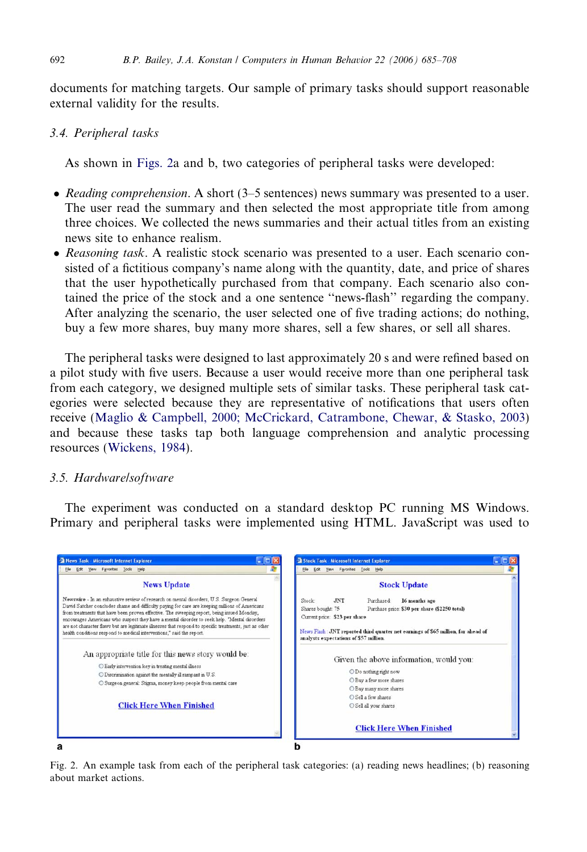documents for matching targets. Our sample of primary tasks should support reasonable external validity for the results.

# 3.4. Peripheral tasks

As shown in Figs. 2a and b, two categories of peripheral tasks were developed:

- Reading comprehension. A short  $(3-5$  sentences) news summary was presented to a user. The user read the summary and then selected the most appropriate title from among three choices. We collected the news summaries and their actual titles from an existing news site to enhance realism.
- Reasoning task. A realistic stock scenario was presented to a user. Each scenario consisted of a fictitious company's name along with the quantity, date, and price of shares that the user hypothetically purchased from that company. Each scenario also contained the price of the stock and a one sentence ''news-flash'' regarding the company. After analyzing the scenario, the user selected one of five trading actions; do nothing, buy a few more shares, buy many more shares, sell a few shares, or sell all shares.

The peripheral tasks were designed to last approximately 20 s and were refined based on a pilot study with five users. Because a user would receive more than one peripheral task from each category, we designed multiple sets of similar tasks. These peripheral task categories were selected because they are representative of notifications that users often receive ([Maglio & Campbell, 2000; McCrickard, Catrambone, Chewar, & Stasko, 2003](#page-22-0)) and because these tasks tap both language comprehension and analytic processing resources ([Wickens, 1984](#page-23-0)).

# 3.5. Hardware/software

The experiment was conducted on a standard desktop PC running MS Windows. Primary and peripheral tasks were implemented using HTML. JavaScript was used to



Fig. 2. An example task from each of the peripheral task categories: (a) reading news headlines; (b) reasoning about market actions.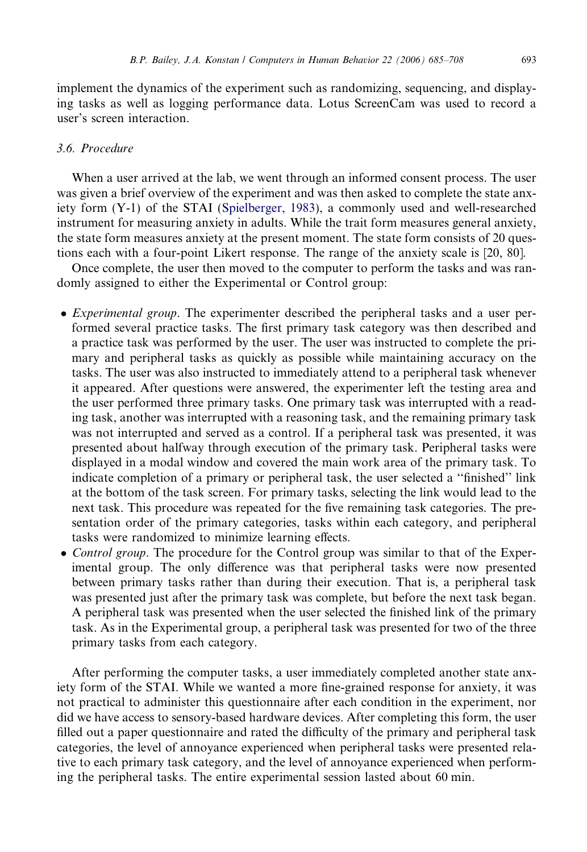implement the dynamics of the experiment such as randomizing, sequencing, and displaying tasks as well as logging performance data. Lotus ScreenCam was used to record a user's screen interaction.

# 3.6. Procedure

When a user arrived at the lab, we went through an informed consent process. The user was given a brief overview of the experiment and was then asked to complete the state anxiety form (Y-1) of the STAI [\(Spielberger, 1983](#page-23-0)), a commonly used and well-researched instrument for measuring anxiety in adults. While the trait form measures general anxiety, the state form measures anxiety at the present moment. The state form consists of 20 questions each with a four-point Likert response. The range of the anxiety scale is [20, 80].

Once complete, the user then moved to the computer to perform the tasks and was randomly assigned to either the Experimental or Control group:

- Experimental group. The experimenter described the peripheral tasks and a user performed several practice tasks. The first primary task category was then described and a practice task was performed by the user. The user was instructed to complete the primary and peripheral tasks as quickly as possible while maintaining accuracy on the tasks. The user was also instructed to immediately attend to a peripheral task whenever it appeared. After questions were answered, the experimenter left the testing area and the user performed three primary tasks. One primary task was interrupted with a reading task, another was interrupted with a reasoning task, and the remaining primary task was not interrupted and served as a control. If a peripheral task was presented, it was presented about halfway through execution of the primary task. Peripheral tasks were displayed in a modal window and covered the main work area of the primary task. To indicate completion of a primary or peripheral task, the user selected a ''finished'' link at the bottom of the task screen. For primary tasks, selecting the link would lead to the next task. This procedure was repeated for the five remaining task categories. The presentation order of the primary categories, tasks within each category, and peripheral tasks were randomized to minimize learning effects.
- Control group. The procedure for the Control group was similar to that of the Experimental group. The only difference was that peripheral tasks were now presented between primary tasks rather than during their execution. That is, a peripheral task was presented just after the primary task was complete, but before the next task began. A peripheral task was presented when the user selected the finished link of the primary task. As in the Experimental group, a peripheral task was presented for two of the three primary tasks from each category.

After performing the computer tasks, a user immediately completed another state anxiety form of the STAI. While we wanted a more fine-grained response for anxiety, it was not practical to administer this questionnaire after each condition in the experiment, nor did we have access to sensory-based hardware devices. After completing this form, the user filled out a paper questionnaire and rated the difficulty of the primary and peripheral task categories, the level of annoyance experienced when peripheral tasks were presented relative to each primary task category, and the level of annoyance experienced when performing the peripheral tasks. The entire experimental session lasted about 60 min.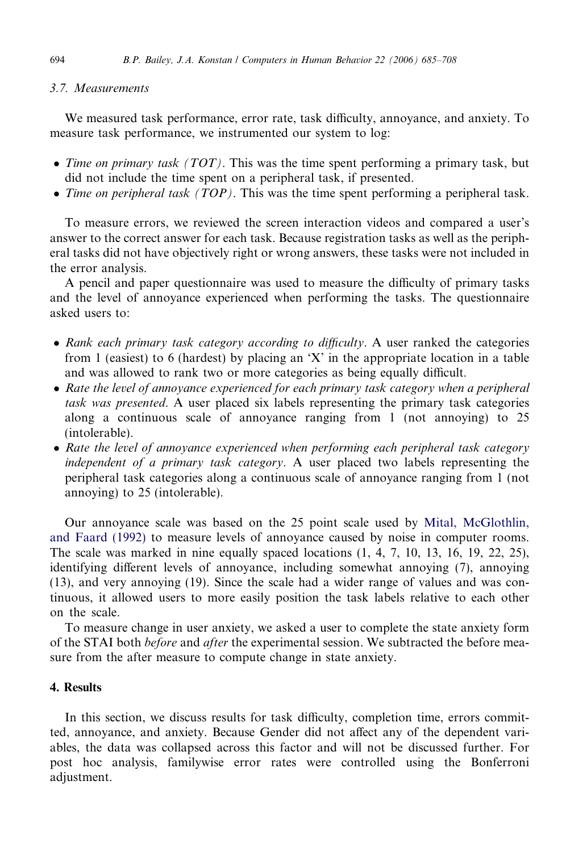#### 3.7. Measurements

We measured task performance, error rate, task difficulty, annoyance, and anxiety. To measure task performance, we instrumented our system to log:

- Time on primary task (TOT). This was the time spent performing a primary task, but did not include the time spent on a peripheral task, if presented.
- Time on peripheral task (TOP). This was the time spent performing a peripheral task.

To measure errors, we reviewed the screen interaction videos and compared a user's answer to the correct answer for each task. Because registration tasks as well as the peripheral tasks did not have objectively right or wrong answers, these tasks were not included in the error analysis.

A pencil and paper questionnaire was used to measure the difficulty of primary tasks and the level of annoyance experienced when performing the tasks. The questionnaire asked users to:

- Rank each primary task category according to difficulty. A user ranked the categories from 1 (easiest) to 6 (hardest) by placing an 'X' in the appropriate location in a table and was allowed to rank two or more categories as being equally difficult.
- Rate the level of annoyance experienced for each primary task category when a peripheral task was presented. A user placed six labels representing the primary task categories along a continuous scale of annoyance ranging from 1 (not annoying) to 25 (intolerable).
- Rate the level of annoyance experienced when performing each peripheral task category independent of a primary task category. A user placed two labels representing the peripheral task categories along a continuous scale of annoyance ranging from 1 (not annoying) to 25 (intolerable).

Our annoyance scale was based on the 25 point scale used by [Mital, McGlothlin,](#page-22-0) [and Faard \(1992\)](#page-22-0) to measure levels of annoyance caused by noise in computer rooms. The scale was marked in nine equally spaced locations  $(1, 4, 7, 10, 13, 16, 19, 22, 25)$ , identifying different levels of annoyance, including somewhat annoying (7), annoying (13), and very annoying (19). Since the scale had a wider range of values and was continuous, it allowed users to more easily position the task labels relative to each other on the scale.

To measure change in user anxiety, we asked a user to complete the state anxiety form of the STAI both *before* and *after* the experimental session. We subtracted the before measure from the after measure to compute change in state anxiety.

# 4. Results

In this section, we discuss results for task difficulty, completion time, errors committed, annoyance, and anxiety. Because Gender did not affect any of the dependent variables, the data was collapsed across this factor and will not be discussed further. For post hoc analysis, familywise error rates were controlled using the Bonferroni adjustment.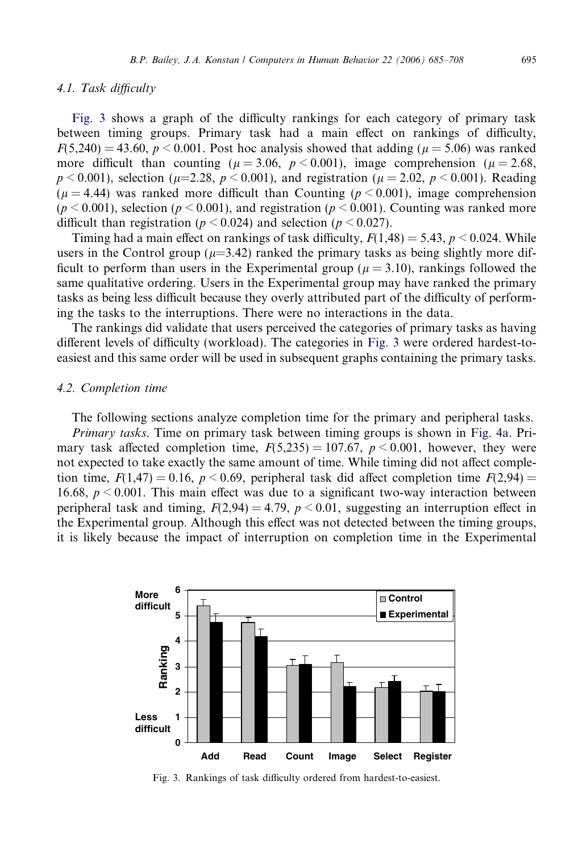#### 4.1. Task difficulty

Fig. 3 shows a graph of the difficulty rankings for each category of primary task between timing groups. Primary task had a main effect on rankings of difficulty,  $F(5,240) = 43.60, p < 0.001$ . Post hoc analysis showed that adding ( $\mu = 5.06$ ) was ranked more difficult than counting ( $\mu = 3.06$ ,  $p < 0.001$ ), image comprehension ( $\mu = 2.68$ ,  $p < 0.001$ ), selection ( $\mu = 2.28$ ,  $p < 0.001$ ), and registration ( $\mu = 2.02$ ,  $p < 0.001$ ). Reading ( $\mu$  = 4.44) was ranked more difficult than Counting ( $p < 0.001$ ), image comprehension  $(p < 0.001)$ , selection  $(p < 0.001)$ , and registration  $(p < 0.001)$ . Counting was ranked more difficult than registration ( $p \le 0.024$ ) and selection ( $p \le 0.027$ ).

Timing had a main effect on rankings of task difficulty,  $F(1,48) = 5.43$ ,  $p \le 0.024$ . While users in the Control group ( $\mu$ =3.42) ranked the primary tasks as being slightly more difficult to perform than users in the Experimental group ( $\mu = 3.10$ ), rankings followed the same qualitative ordering. Users in the Experimental group may have ranked the primary tasks as being less difficult because they overly attributed part of the difficulty of performing the tasks to the interruptions. There were no interactions in the data.

The rankings did validate that users perceived the categories of primary tasks as having different levels of difficulty (workload). The categories in Fig. 3 were ordered hardest-toeasiest and this same order will be used in subsequent graphs containing the primary tasks.

#### 4.2. Completion time

The following sections analyze completion time for the primary and peripheral tasks.

Primary tasks. Time on primary task between timing groups is shown in [Fig. 4a.](#page-11-0) Primary task affected completion time,  $F(5,235) = 107.67$ ,  $p < 0.001$ , however, they were not expected to take exactly the same amount of time. While timing did not affect completion time,  $F(1,47) = 0.16$ ,  $p < 0.69$ , peripheral task did affect completion time  $F(2,94) =$ 16.68,  $p \le 0.001$ . This main effect was due to a significant two-way interaction between peripheral task and timing,  $F(2,94) = 4.79$ ,  $p < 0.01$ , suggesting an interruption effect in the Experimental group. Although this effect was not detected between the timing groups, it is likely because the impact of interruption on completion time in the Experimental



Fig. 3. Rankings of task difficulty ordered from hardest-to-easiest.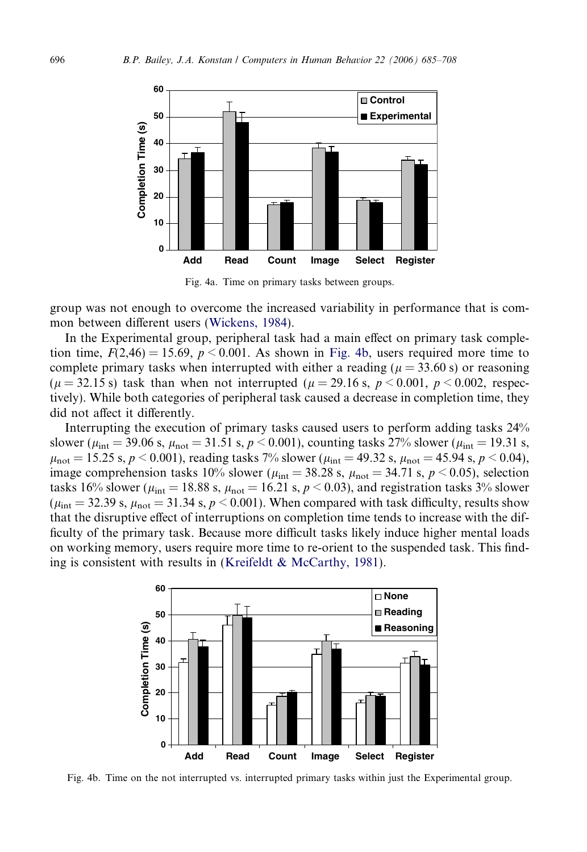<span id="page-11-0"></span>

Fig. 4a. Time on primary tasks between groups.

group was not enough to overcome the increased variability in performance that is common between different users ([Wickens, 1984\)](#page-23-0).

In the Experimental group, peripheral task had a main effect on primary task completion time,  $F(2,46) = 15.69$ ,  $p < 0.001$ . As shown in Fig. 4b, users required more time to complete primary tasks when interrupted with either a reading ( $\mu = 33.60$  s) or reasoning ( $\mu = 32.15$  s) task than when not interrupted ( $\mu = 29.16$  s,  $p < 0.001$ ,  $p < 0.002$ , respectively). While both categories of peripheral task caused a decrease in completion time, they did not affect it differently.

Interrupting the execution of primary tasks caused users to perform adding tasks 24% slower ( $\mu_{\text{int}} = 39.06$  s,  $\mu_{\text{not}} = 31.51$  s,  $p < 0.001$ ), counting tasks 27% slower ( $\mu_{\text{int}} = 19.31$  s,  $\mu_{\text{not}} = 15.25$  s,  $p < 0.001$ ), reading tasks 7% slower ( $\mu_{\text{int}} = 49.32$  s,  $\mu_{\text{not}} = 45.94$  s,  $p < 0.04$ ), image comprehension tasks 10% slower ( $\mu_{int} = 38.28$  s,  $\mu_{not} = 34.71$  s,  $p < 0.05$ ), selection tasks 16% slower ( $\mu_{int} = 18.88$  s,  $\mu_{not} = 16.21$  s,  $p < 0.03$ ), and registration tasks 3% slower  $(\mu_{\text{int}} = 32.39 \text{ s}, \mu_{\text{not}} = 31.34 \text{ s}, p < 0.001)$ . When compared with task difficulty, results show that the disruptive effect of interruptions on completion time tends to increase with the difficulty of the primary task. Because more difficult tasks likely induce higher mental loads on working memory, users require more time to re-orient to the suspended task. This finding is consistent with results in [\(Kreifeldt & McCarthy, 1981](#page-22-0)).



Fig. 4b. Time on the not interrupted vs. interrupted primary tasks within just the Experimental group.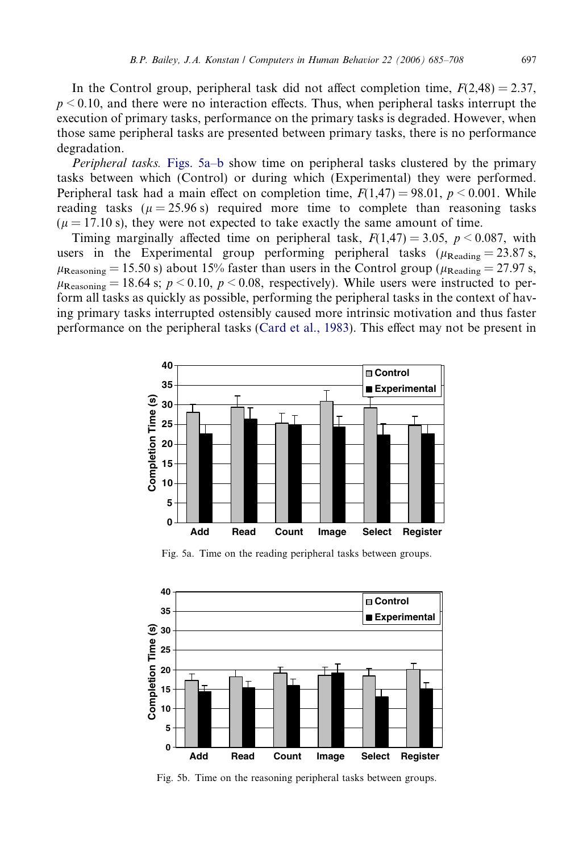In the Control group, peripheral task did not affect completion time,  $F(2,48) = 2.37$ ,  $p < 0.10$ , and there were no interaction effects. Thus, when peripheral tasks interrupt the execution of primary tasks, performance on the primary tasks is degraded. However, when those same peripheral tasks are presented between primary tasks, there is no performance degradation.

Peripheral tasks. Figs. 5a–b show time on peripheral tasks clustered by the primary tasks between which (Control) or during which (Experimental) they were performed. Peripheral task had a main effect on completion time,  $F(1,47) = 98.01$ ,  $p < 0.001$ . While reading tasks ( $\mu = 25.96$  s) required more time to complete than reasoning tasks  $(\mu = 17.10 \text{ s})$ , they were not expected to take exactly the same amount of time.

Timing marginally affected time on peripheral task,  $F(1,47) = 3.05$ ,  $p < 0.087$ , with users in the Experimental group performing peripheral tasks ( $\mu_{\text{Reading}} = 23.87$  s,  $\mu_{\text{Reasoning}} = 15.50 \text{ s}$ ) about 15% faster than users in the Control group ( $\mu_{\text{Reading}} = 27.97 \text{ s}$ ,  $\mu_{\text{Reasoning}} = 18.64 \text{ s}; p \leq 0.10, p \leq 0.08,$  respectively). While users were instructed to perform all tasks as quickly as possible, performing the peripheral tasks in the context of having primary tasks interrupted ostensibly caused more intrinsic motivation and thus faster performance on the peripheral tasks ([Card et al., 1983](#page-21-0)). This effect may not be present in



Fig. 5a. Time on the reading peripheral tasks between groups.



Fig. 5b. Time on the reasoning peripheral tasks between groups.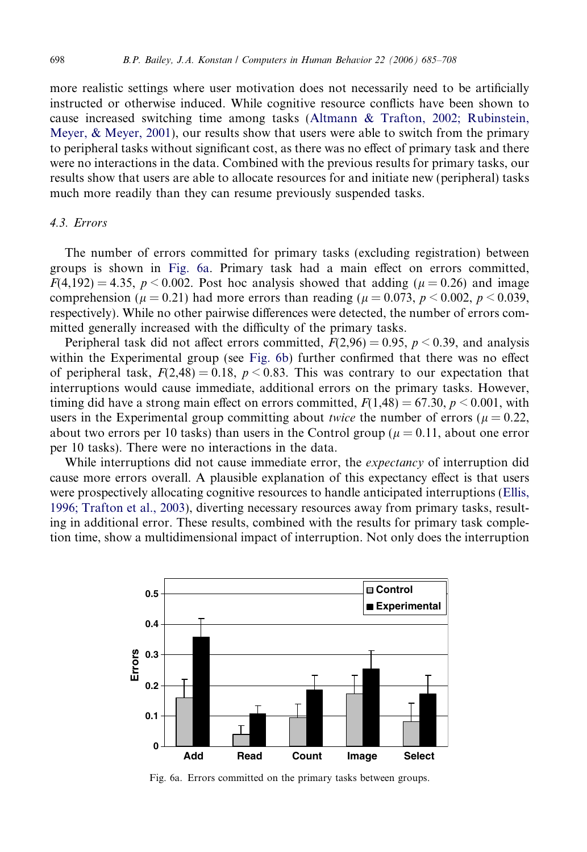more realistic settings where user motivation does not necessarily need to be artificially instructed or otherwise induced. While cognitive resource conflicts have been shown to cause increased switching time among tasks [\(Altmann & Trafton, 2002; Rubinstein,](#page-21-0) [Meyer, & Meyer, 2001\)](#page-21-0), our results show that users were able to switch from the primary to peripheral tasks without significant cost, as there was no effect of primary task and there were no interactions in the data. Combined with the previous results for primary tasks, our results show that users are able to allocate resources for and initiate new (peripheral) tasks much more readily than they can resume previously suspended tasks.

# 4.3. Errors

The number of errors committed for primary tasks (excluding registration) between groups is shown in Fig. 6a. Primary task had a main effect on errors committed,  $F(4,192) = 4.35$ ,  $p \le 0.002$ . Post hoc analysis showed that adding ( $\mu = 0.26$ ) and image comprehension ( $\mu = 0.21$ ) had more errors than reading ( $\mu = 0.073$ ,  $p < 0.002$ ,  $p < 0.039$ , respectively). While no other pairwise differences were detected, the number of errors committed generally increased with the difficulty of the primary tasks.

Peripheral task did not affect errors committed,  $F(2,96) = 0.95$ ,  $p < 0.39$ , and analysis within the Experimental group (see [Fig. 6b](#page-14-0)) further confirmed that there was no effect of peripheral task,  $F(2,48) = 0.18$ ,  $p < 0.83$ . This was contrary to our expectation that interruptions would cause immediate, additional errors on the primary tasks. However, timing did have a strong main effect on errors committed,  $F(1,48) = 67.30, p < 0.001$ , with users in the Experimental group committing about *twice* the number of errors ( $\mu = 0.22$ , about two errors per 10 tasks) than users in the Control group ( $\mu = 0.11$ , about one error per 10 tasks). There were no interactions in the data.

While interruptions did not cause immediate error, the *expectancy* of interruption did cause more errors overall. A plausible explanation of this expectancy effect is that users were prospectively allocating cognitive resources to handle anticipated interruptions [\(Ellis,](#page-22-0) [1996; Trafton et al., 2003\)](#page-22-0), diverting necessary resources away from primary tasks, resulting in additional error. These results, combined with the results for primary task completion time, show a multidimensional impact of interruption. Not only does the interruption



Fig. 6a. Errors committed on the primary tasks between groups.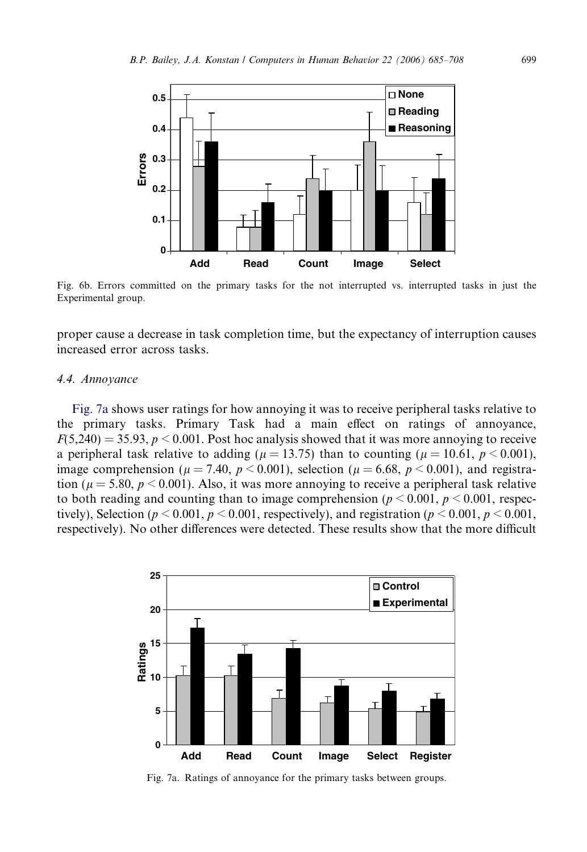<span id="page-14-0"></span>

Fig. 6b. Errors committed on the primary tasks for the not interrupted vs. interrupted tasks in just the Experimental group.

proper cause a decrease in task completion time, but the expectancy of interruption causes increased error across tasks.

#### 4.4. Annoyance

Fig. 7a shows user ratings for how annoying it was to receive peripheral tasks relative to the primary tasks. Primary Task had a main effect on ratings of annoyance,  $F(5,240) = 35.93$ ,  $p < 0.001$ . Post hoc analysis showed that it was more annoying to receive a peripheral task relative to adding ( $\mu = 13.75$ ) than to counting ( $\mu = 10.61$ ,  $p < 0.001$ ), image comprehension ( $\mu$  = 7.40,  $p$  < 0.001), selection ( $\mu$  = 6.68,  $p$  < 0.001), and registration ( $\mu = 5.80, p \le 0.001$ ). Also, it was more annoying to receive a peripheral task relative to both reading and counting than to image comprehension ( $p < 0.001$ ,  $p < 0.001$ , respectively), Selection ( $p < 0.001$ ,  $p < 0.001$ , respectively), and registration ( $p < 0.001$ ,  $p < 0.001$ , respectively). No other differences were detected. These results show that the more difficult



Fig. 7a. Ratings of annoyance for the primary tasks between groups.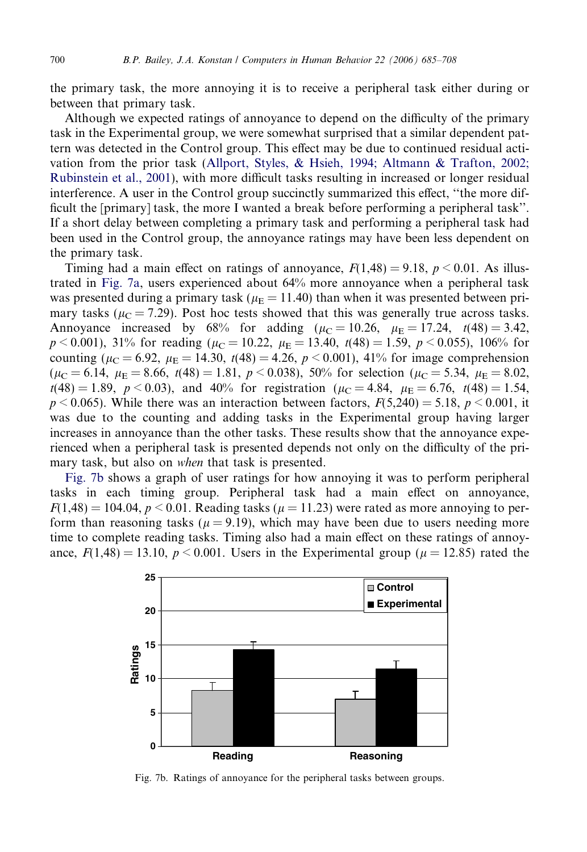the primary task, the more annoying it is to receive a peripheral task either during or between that primary task.

Although we expected ratings of annoyance to depend on the difficulty of the primary task in the Experimental group, we were somewhat surprised that a similar dependent pattern was detected in the Control group. This effect may be due to continued residual activation from the prior task ([Allport, Styles, & Hsieh, 1994; Altmann & Trafton, 2002;](#page-21-0) [Rubinstein et al., 2001\)](#page-21-0), with more difficult tasks resulting in increased or longer residual interference. A user in the Control group succinctly summarized this effect, ''the more difficult the [primary] task, the more I wanted a break before performing a peripheral task''. If a short delay between completing a primary task and performing a peripheral task had been used in the Control group, the annoyance ratings may have been less dependent on the primary task.

Timing had a main effect on ratings of annoyance,  $F(1,48) = 9.18$ ,  $p < 0.01$ . As illustrated in [Fig. 7a,](#page-14-0) users experienced about 64% more annoyance when a peripheral task was presented during a primary task ( $\mu$ <sub>E</sub> = 11.40) than when it was presented between primary tasks ( $\mu_C$  = 7.29). Post hoc tests showed that this was generally true across tasks. Annoyance increased by 68% for adding  $(\mu_C = 10.26, \mu_E = 17.24, t(48) = 3.42,$  $p < 0.001$ , 31% for reading ( $\mu$ c = 10.22,  $\mu$ <sub>E</sub> = 13.40, t(48) = 1.59, p < 0.055), 106% for counting ( $\mu_C = 6.92$ ,  $\mu_E = 14.30$ ,  $t(48) = 4.26$ ,  $p < 0.001$ ), 41% for image comprehension  $(\mu_C = 6.14, \mu_E = 8.66, t(48) = 1.81, p < 0.038)$ , 50% for selection  $(\mu_C = 5.34, \mu_E = 8.02,$  $t(48) = 1.89, p < 0.03$ , and  $40\%$  for registration ( $\mu$ <sub>C</sub> = 4.84,  $\mu$ <sub>E</sub> = 6.76,  $t(48) = 1.54$ ,  $p < 0.065$ ). While there was an interaction between factors,  $F(5,240) = 5.18$ ,  $p < 0.001$ , it was due to the counting and adding tasks in the Experimental group having larger increases in annoyance than the other tasks. These results show that the annoyance experienced when a peripheral task is presented depends not only on the difficulty of the primary task, but also on *when* that task is presented.

Fig. 7b shows a graph of user ratings for how annoying it was to perform peripheral tasks in each timing group. Peripheral task had a main effect on annoyance,  $F(1,48) = 104.04$ ,  $p < 0.01$ . Reading tasks ( $\mu = 11.23$ ) were rated as more annoying to perform than reasoning tasks ( $\mu = 9.19$ ), which may have been due to users needing more time to complete reading tasks. Timing also had a main effect on these ratings of annoyance,  $F(1,48) = 13.10$ ,  $p < 0.001$ . Users in the Experimental group ( $\mu = 12.85$ ) rated the



Fig. 7b. Ratings of annoyance for the peripheral tasks between groups.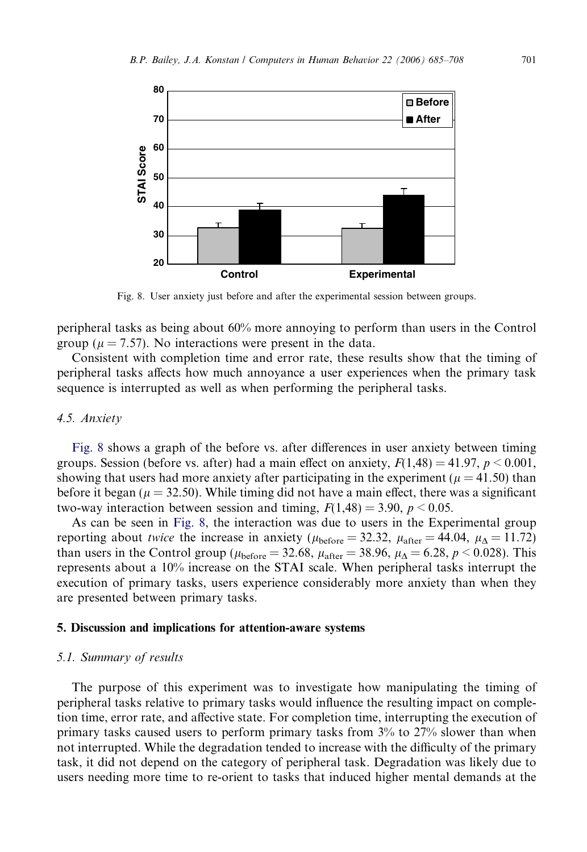

Fig. 8. User anxiety just before and after the experimental session between groups.

peripheral tasks as being about 60% more annoying to perform than users in the Control group ( $\mu = 7.57$ ). No interactions were present in the data.

Consistent with completion time and error rate, these results show that the timing of peripheral tasks affects how much annoyance a user experiences when the primary task sequence is interrupted as well as when performing the peripheral tasks.

# 4.5. Anxiety

Fig. 8 shows a graph of the before vs. after differences in user anxiety between timing groups. Session (before vs. after) had a main effect on anxiety,  $F(1,48) = 41.97$ ,  $p < 0.001$ , showing that users had more anxiety after participating in the experiment ( $\mu = 41.50$ ) than before it began ( $\mu = 32.50$ ). While timing did not have a main effect, there was a significant two-way interaction between session and timing,  $F(1,48) = 3.90, p \le 0.05$ .

As can be seen in Fig. 8, the interaction was due to users in the Experimental group reporting about twice the increase in anxiety ( $\mu_{before} = 32.32$ ,  $\mu_{after} = 44.04$ ,  $\mu_{\Delta} = 11.72$ ) than users in the Control group ( $\mu_{\text{before}} = 32.68$ ,  $\mu_{\text{after}} = 38.96$ ,  $\mu_{\Delta} = 6.28$ ,  $p < 0.028$ ). This represents about a 10% increase on the STAI scale. When peripheral tasks interrupt the execution of primary tasks, users experience considerably more anxiety than when they are presented between primary tasks.

## 5. Discussion and implications for attention-aware systems

# 5.1. Summary of results

The purpose of this experiment was to investigate how manipulating the timing of peripheral tasks relative to primary tasks would influence the resulting impact on completion time, error rate, and affective state. For completion time, interrupting the execution of primary tasks caused users to perform primary tasks from 3% to 27% slower than when not interrupted. While the degradation tended to increase with the difficulty of the primary task, it did not depend on the category of peripheral task. Degradation was likely due to users needing more time to re-orient to tasks that induced higher mental demands at the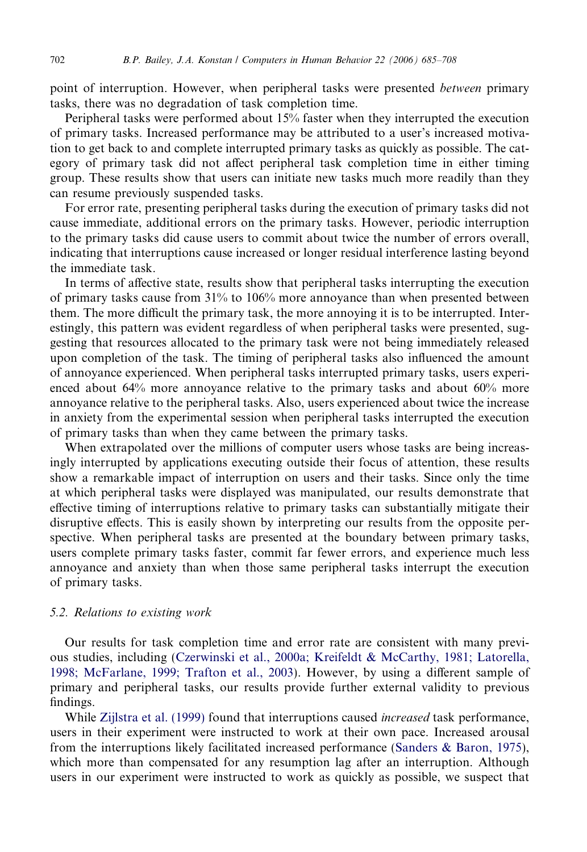point of interruption. However, when peripheral tasks were presented *between* primary tasks, there was no degradation of task completion time.

Peripheral tasks were performed about 15% faster when they interrupted the execution of primary tasks. Increased performance may be attributed to a user's increased motivation to get back to and complete interrupted primary tasks as quickly as possible. The category of primary task did not affect peripheral task completion time in either timing group. These results show that users can initiate new tasks much more readily than they can resume previously suspended tasks.

For error rate, presenting peripheral tasks during the execution of primary tasks did not cause immediate, additional errors on the primary tasks. However, periodic interruption to the primary tasks did cause users to commit about twice the number of errors overall, indicating that interruptions cause increased or longer residual interference lasting beyond the immediate task.

In terms of affective state, results show that peripheral tasks interrupting the execution of primary tasks cause from 31% to 106% more annoyance than when presented between them. The more difficult the primary task, the more annoying it is to be interrupted. Interestingly, this pattern was evident regardless of when peripheral tasks were presented, suggesting that resources allocated to the primary task were not being immediately released upon completion of the task. The timing of peripheral tasks also influenced the amount of annoyance experienced. When peripheral tasks interrupted primary tasks, users experienced about 64% more annoyance relative to the primary tasks and about 60% more annoyance relative to the peripheral tasks. Also, users experienced about twice the increase in anxiety from the experimental session when peripheral tasks interrupted the execution of primary tasks than when they came between the primary tasks.

When extrapolated over the millions of computer users whose tasks are being increasingly interrupted by applications executing outside their focus of attention, these results show a remarkable impact of interruption on users and their tasks. Since only the time at which peripheral tasks were displayed was manipulated, our results demonstrate that effective timing of interruptions relative to primary tasks can substantially mitigate their disruptive effects. This is easily shown by interpreting our results from the opposite perspective. When peripheral tasks are presented at the boundary between primary tasks, users complete primary tasks faster, commit far fewer errors, and experience much less annoyance and anxiety than when those same peripheral tasks interrupt the execution of primary tasks.

# 5.2. Relations to existing work

Our results for task completion time and error rate are consistent with many previous studies, including [\(Czerwinski et al., 2000a; Kreifeldt & McCarthy, 1981; Latorella,](#page-21-0) [1998; McFarlane, 1999; Trafton et al., 2003](#page-21-0)). However, by using a different sample of primary and peripheral tasks, our results provide further external validity to previous findings.

While [Zijlstra et al. \(1999\)](#page-23-0) found that interruptions caused *increased* task performance, users in their experiment were instructed to work at their own pace. Increased arousal from the interruptions likely facilitated increased performance [\(Sanders & Baron, 1975](#page-23-0)), which more than compensated for any resumption lag after an interruption. Although users in our experiment were instructed to work as quickly as possible, we suspect that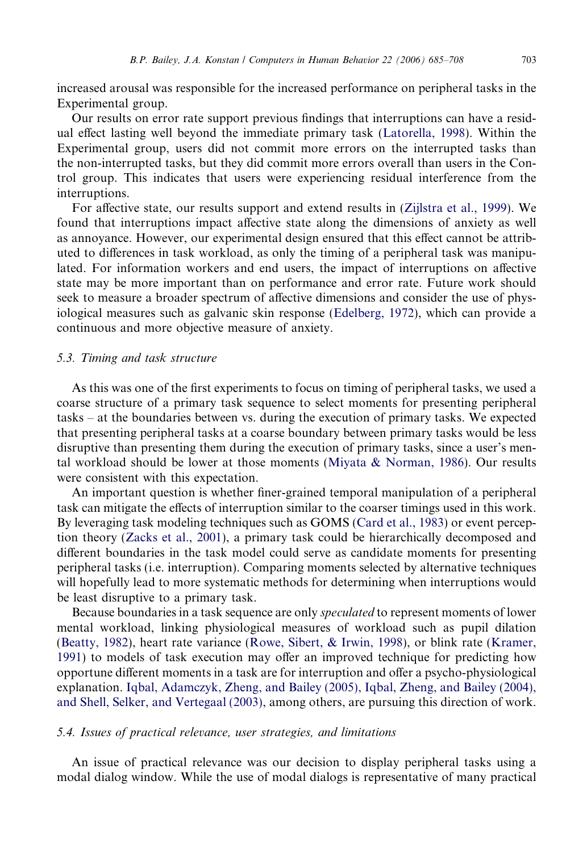increased arousal was responsible for the increased performance on peripheral tasks in the Experimental group.

Our results on error rate support previous findings that interruptions can have a residual effect lasting well beyond the immediate primary task [\(Latorella, 1998](#page-22-0)). Within the Experimental group, users did not commit more errors on the interrupted tasks than the non-interrupted tasks, but they did commit more errors overall than users in the Control group. This indicates that users were experiencing residual interference from the interruptions.

For affective state, our results support and extend results in ([Zijlstra et al., 1999](#page-23-0)). We found that interruptions impact affective state along the dimensions of anxiety as well as annoyance. However, our experimental design ensured that this effect cannot be attributed to differences in task workload, as only the timing of a peripheral task was manipulated. For information workers and end users, the impact of interruptions on affective state may be more important than on performance and error rate. Future work should seek to measure a broader spectrum of affective dimensions and consider the use of physiological measures such as galvanic skin response [\(Edelberg, 1972](#page-21-0)), which can provide a continuous and more objective measure of anxiety.

#### 5.3. Timing and task structure

As this was one of the first experiments to focus on timing of peripheral tasks, we used a coarse structure of a primary task sequence to select moments for presenting peripheral tasks – at the boundaries between vs. during the execution of primary tasks. We expected that presenting peripheral tasks at a coarse boundary between primary tasks would be less disruptive than presenting them during the execution of primary tasks, since a user's mental workload should be lower at those moments ([Miyata & Norman, 1986](#page-22-0)). Our results were consistent with this expectation.

An important question is whether finer-grained temporal manipulation of a peripheral task can mitigate the effects of interruption similar to the coarser timings used in this work. By leveraging task modeling techniques such as GOMS ([Card et al., 1983](#page-21-0)) or event perception theory [\(Zacks et al., 2001](#page-23-0)), a primary task could be hierarchically decomposed and different boundaries in the task model could serve as candidate moments for presenting peripheral tasks (i.e. interruption). Comparing moments selected by alternative techniques will hopefully lead to more systematic methods for determining when interruptions would be least disruptive to a primary task.

Because boundaries in a task sequence are only speculated to represent moments of lower mental workload, linking physiological measures of workload such as pupil dilation ([Beatty, 1982](#page-21-0)), heart rate variance [\(Rowe, Sibert, & Irwin, 1998](#page-23-0)), or blink rate ([Kramer,](#page-22-0) [1991](#page-22-0)) to models of task execution may offer an improved technique for predicting how opportune different moments in a task are for interruption and offer a psycho-physiological explanation. [Iqbal, Adamczyk, Zheng, and Bailey \(2005\), Iqbal, Zheng, and Bailey \(2004\),](#page-22-0) [and Shell, Selker, and Vertegaal \(2003\),](#page-22-0) among others, are pursuing this direction of work.

# 5.4. Issues of practical relevance, user strategies, and limitations

An issue of practical relevance was our decision to display peripheral tasks using a modal dialog window. While the use of modal dialogs is representative of many practical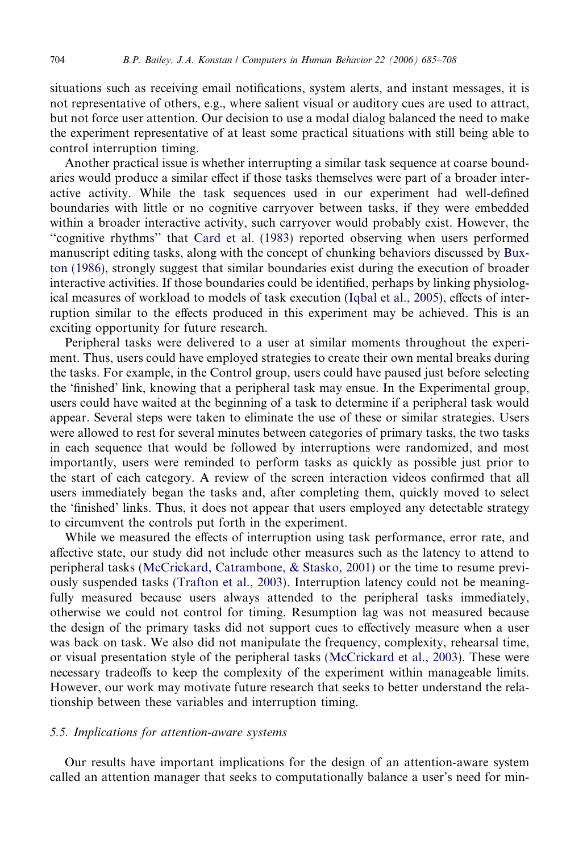situations such as receiving email notifications, system alerts, and instant messages, it is not representative of others, e.g., where salient visual or auditory cues are used to attract, but not force user attention. Our decision to use a modal dialog balanced the need to make the experiment representative of at least some practical situations with still being able to control interruption timing.

Another practical issue is whether interrupting a similar task sequence at coarse boundaries would produce a similar effect if those tasks themselves were part of a broader interactive activity. While the task sequences used in our experiment had well-defined boundaries with little or no cognitive carryover between tasks, if they were embedded within a broader interactive activity, such carryover would probably exist. However, the ''cognitive rhythms'' that [Card et al. \(1983\)](#page-21-0) reported observing when users performed manuscript editing tasks, along with the concept of chunking behaviors discussed by [Bux](#page-21-0)[ton \(1986\),](#page-21-0) strongly suggest that similar boundaries exist during the execution of broader interactive activities. If those boundaries could be identified, perhaps by linking physiological measures of workload to models of task execution [\(Iqbal et al., 2005](#page-22-0)), effects of interruption similar to the effects produced in this experiment may be achieved. This is an exciting opportunity for future research.

Peripheral tasks were delivered to a user at similar moments throughout the experiment. Thus, users could have employed strategies to create their own mental breaks during the tasks. For example, in the Control group, users could have paused just before selecting the 'finished' link, knowing that a peripheral task may ensue. In the Experimental group, users could have waited at the beginning of a task to determine if a peripheral task would appear. Several steps were taken to eliminate the use of these or similar strategies. Users were allowed to rest for several minutes between categories of primary tasks, the two tasks in each sequence that would be followed by interruptions were randomized, and most importantly, users were reminded to perform tasks as quickly as possible just prior to the start of each category. A review of the screen interaction videos confirmed that all users immediately began the tasks and, after completing them, quickly moved to select the 'finished' links. Thus, it does not appear that users employed any detectable strategy to circumvent the controls put forth in the experiment.

While we measured the effects of interruption using task performance, error rate, and affective state, our study did not include other measures such as the latency to attend to peripheral tasks ([McCrickard, Catrambone, & Stasko, 2001](#page-22-0)) or the time to resume previously suspended tasks [\(Trafton et al., 2003](#page-23-0)). Interruption latency could not be meaningfully measured because users always attended to the peripheral tasks immediately, otherwise we could not control for timing. Resumption lag was not measured because the design of the primary tasks did not support cues to effectively measure when a user was back on task. We also did not manipulate the frequency, complexity, rehearsal time, or visual presentation style of the peripheral tasks [\(McCrickard et al., 2003](#page-22-0)). These were necessary tradeoffs to keep the complexity of the experiment within manageable limits. However, our work may motivate future research that seeks to better understand the relationship between these variables and interruption timing.

# 5.5. Implications for attention-aware systems

Our results have important implications for the design of an attention-aware system called an attention manager that seeks to computationally balance a user's need for min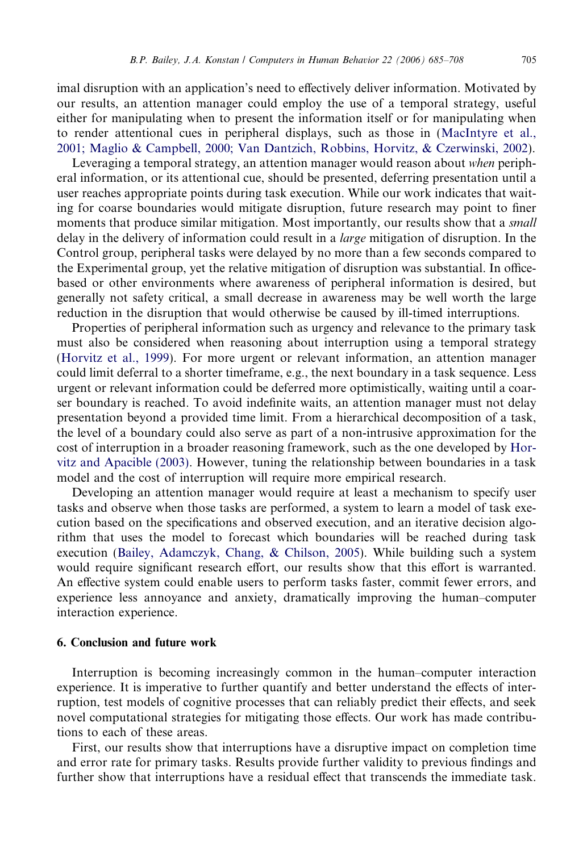imal disruption with an application's need to effectively deliver information. Motivated by our results, an attention manager could employ the use of a temporal strategy, useful either for manipulating when to present the information itself or for manipulating when to render attentional cues in peripheral displays, such as those in ([MacIntyre et al.,](#page-22-0) [2001; Maglio & Campbell, 2000; Van Dantzich, Robbins, Horvitz, & Czerwinski, 2002](#page-22-0)).

Leveraging a temporal strategy, an attention manager would reason about when peripheral information, or its attentional cue, should be presented, deferring presentation until a user reaches appropriate points during task execution. While our work indicates that waiting for coarse boundaries would mitigate disruption, future research may point to finer moments that produce similar mitigation. Most importantly, our results show that a *small* delay in the delivery of information could result in a *large* mitigation of disruption. In the Control group, peripheral tasks were delayed by no more than a few seconds compared to the Experimental group, yet the relative mitigation of disruption was substantial. In officebased or other environments where awareness of peripheral information is desired, but generally not safety critical, a small decrease in awareness may be well worth the large reduction in the disruption that would otherwise be caused by ill-timed interruptions.

Properties of peripheral information such as urgency and relevance to the primary task must also be considered when reasoning about interruption using a temporal strategy ([Horvitz et al., 1999](#page-22-0)). For more urgent or relevant information, an attention manager could limit deferral to a shorter timeframe, e.g., the next boundary in a task sequence. Less urgent or relevant information could be deferred more optimistically, waiting until a coarser boundary is reached. To avoid indefinite waits, an attention manager must not delay presentation beyond a provided time limit. From a hierarchical decomposition of a task, the level of a boundary could also serve as part of a non-intrusive approximation for the cost of interruption in a broader reasoning framework, such as the one developed by [Hor](#page-22-0)[vitz and Apacible \(2003\).](#page-22-0) However, tuning the relationship between boundaries in a task model and the cost of interruption will require more empirical research.

Developing an attention manager would require at least a mechanism to specify user tasks and observe when those tasks are performed, a system to learn a model of task execution based on the specifications and observed execution, and an iterative decision algorithm that uses the model to forecast which boundaries will be reached during task execution ([Bailey, Adamczyk, Chang, & Chilson, 2005](#page-21-0)). While building such a system would require significant research effort, our results show that this effort is warranted. An effective system could enable users to perform tasks faster, commit fewer errors, and experience less annoyance and anxiety, dramatically improving the human–computer interaction experience.

# 6. Conclusion and future work

Interruption is becoming increasingly common in the human–computer interaction experience. It is imperative to further quantify and better understand the effects of interruption, test models of cognitive processes that can reliably predict their effects, and seek novel computational strategies for mitigating those effects. Our work has made contributions to each of these areas.

First, our results show that interruptions have a disruptive impact on completion time and error rate for primary tasks. Results provide further validity to previous findings and further show that interruptions have a residual effect that transcends the immediate task.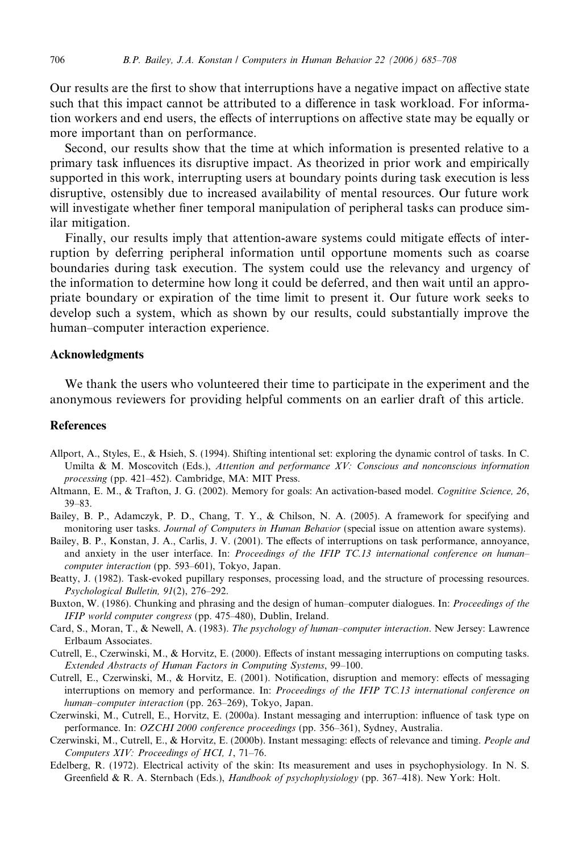<span id="page-21-0"></span>Our results are the first to show that interruptions have a negative impact on affective state such that this impact cannot be attributed to a difference in task workload. For information workers and end users, the effects of interruptions on affective state may be equally or more important than on performance.

Second, our results show that the time at which information is presented relative to a primary task influences its disruptive impact. As theorized in prior work and empirically supported in this work, interrupting users at boundary points during task execution is less disruptive, ostensibly due to increased availability of mental resources. Our future work will investigate whether finer temporal manipulation of peripheral tasks can produce similar mitigation.

Finally, our results imply that attention-aware systems could mitigate effects of interruption by deferring peripheral information until opportune moments such as coarse boundaries during task execution. The system could use the relevancy and urgency of the information to determine how long it could be deferred, and then wait until an appropriate boundary or expiration of the time limit to present it. Our future work seeks to develop such a system, which as shown by our results, could substantially improve the human–computer interaction experience.

# Acknowledgments

We thank the users who volunteered their time to participate in the experiment and the anonymous reviewers for providing helpful comments on an earlier draft of this article.

### **References**

- Allport, A., Styles, E., & Hsieh, S. (1994). Shifting intentional set: exploring the dynamic control of tasks. In C. Umilta & M. Moscovitch (Eds.), Attention and performance XV: Conscious and nonconscious information processing (pp. 421–452). Cambridge, MA: MIT Press.
- Altmann, E. M., & Trafton, J. G. (2002). Memory for goals: An activation-based model. Cognitive Science, 26, 39–83.
- Bailey, B. P., Adamczyk, P. D., Chang, T. Y., & Chilson, N. A. (2005). A framework for specifying and monitoring user tasks. Journal of Computers in Human Behavior (special issue on attention aware systems).
- Bailey, B. P., Konstan, J. A., Carlis, J. V. (2001). The effects of interruptions on task performance, annoyance, and anxiety in the user interface. In: Proceedings of the IFIP TC.13 international conference on human– computer interaction (pp. 593–601), Tokyo, Japan.
- Beatty, J. (1982). Task-evoked pupillary responses, processing load, and the structure of processing resources. Psychological Bulletin, 91(2), 276–292.
- Buxton, W. (1986). Chunking and phrasing and the design of human–computer dialogues. In: *Proceedings of the* IFIP world computer congress (pp. 475–480), Dublin, Ireland.
- Card, S., Moran, T., & Newell, A. (1983). The psychology of human–computer interaction. New Jersey: Lawrence Erlbaum Associates.
- Cutrell, E., Czerwinski, M., & Horvitz, E. (2000). Effects of instant messaging interruptions on computing tasks. Extended Abstracts of Human Factors in Computing Systems, 99–100.
- Cutrell, E., Czerwinski, M., & Horvitz, E. (2001). Notification, disruption and memory: effects of messaging interruptions on memory and performance. In: Proceedings of the IFIP TC.13 international conference on human–computer interaction (pp. 263–269), Tokyo, Japan.
- Czerwinski, M., Cutrell, E., Horvitz, E. (2000a). Instant messaging and interruption: influence of task type on performance. In: OZCHI 2000 conference proceedings (pp. 356–361), Sydney, Australia.
- Czerwinski, M., Cutrell, E., & Horvitz, E. (2000b). Instant messaging: effects of relevance and timing. People and Computers XIV: Proceedings of HCI, 1, 71–76.
- Edelberg, R. (1972). Electrical activity of the skin: Its measurement and uses in psychophysiology. In N. S. Greenfield & R. A. Sternbach (Eds.), Handbook of psychophysiology (pp. 367–418). New York: Holt.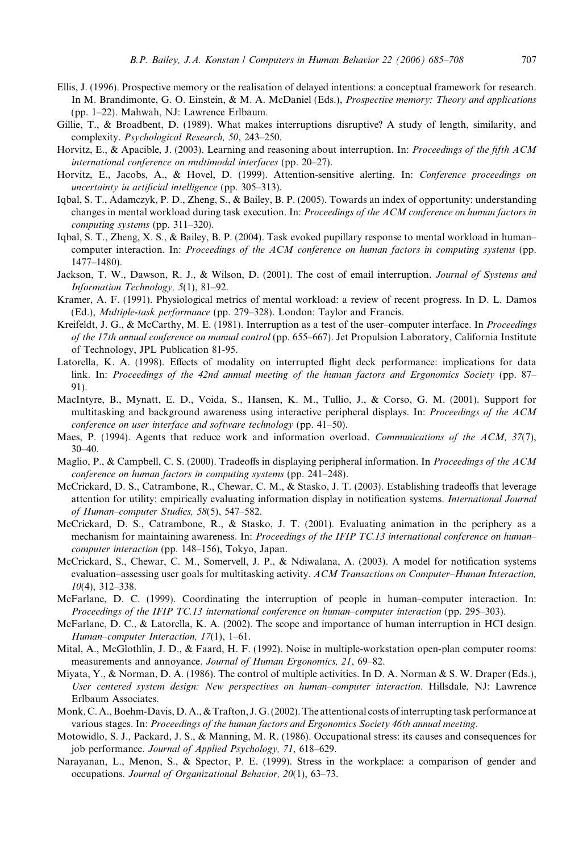- <span id="page-22-0"></span>Ellis, J. (1996). Prospective memory or the realisation of delayed intentions: a conceptual framework for research. In M. Brandimonte, G. O. Einstein, & M. A. McDaniel (Eds.), Prospective memory: Theory and applications (pp. 1–22). Mahwah, NJ: Lawrence Erlbaum.
- Gillie, T., & Broadbent, D. (1989). What makes interruptions disruptive? A study of length, similarity, and complexity. Psychological Research, 50, 243–250.
- Horvitz, E., & Apacible, J. (2003). Learning and reasoning about interruption. In: *Proceedings of the fifth ACM* international conference on multimodal interfaces (pp. 20–27).
- Horvitz, E., Jacobs, A., & Hovel, D. (1999). Attention-sensitive alerting. In: Conference proceedings on uncertainty in artificial intelligence (pp. 305–313).
- Iqbal, S. T., Adamczyk, P. D., Zheng, S., & Bailey, B. P. (2005). Towards an index of opportunity: understanding changes in mental workload during task execution. In: Proceedings of the ACM conference on human factors in computing systems (pp. 311–320).
- Iqbal, S. T., Zheng, X. S., & Bailey, B. P. (2004). Task evoked pupillary response to mental workload in human– computer interaction. In: *Proceedings of the ACM conference on human factors in computing systems* (pp. 1477–1480).
- Jackson, T. W., Dawson, R. J., & Wilson, D. (2001). The cost of email interruption. Journal of Systems and Information Technology, 5(1), 81–92.
- Kramer, A. F. (1991). Physiological metrics of mental workload: a review of recent progress. In D. L. Damos (Ed.), Multiple-task performance (pp. 279–328). London: Taylor and Francis.
- Kreifeldt, J. G., & McCarthy, M. E. (1981). Interruption as a test of the user-computer interface. In Proceedings of the 17th annual conference on manual control (pp. 655–667). Jet Propulsion Laboratory, California Institute of Technology, JPL Publication 81-95.
- Latorella, K. A. (1998). Effects of modality on interrupted flight deck performance: implications for data link. In: Proceedings of the 42nd annual meeting of the human factors and Ergonomics Society (pp. 87– 91).
- MacIntyre, B., Mynatt, E. D., Voida, S., Hansen, K. M., Tullio, J., & Corso, G. M. (2001). Support for multitasking and background awareness using interactive peripheral displays. In: Proceedings of the ACM conference on user interface and software technology (pp. 41–50).
- Maes, P. (1994). Agents that reduce work and information overload. Communications of the ACM, 37(7), 30–40.
- Maglio, P., & Campbell, C. S. (2000). Tradeoffs in displaying peripheral information. In *Proceedings of the ACM* conference on human factors in computing systems (pp. 241–248).
- McCrickard, D. S., Catrambone, R., Chewar, C. M., & Stasko, J. T. (2003). Establishing tradeoffs that leverage attention for utility: empirically evaluating information display in notification systems. International Journal of Human–computer Studies, 58(5), 547–582.
- McCrickard, D. S., Catrambone, R., & Stasko, J. T. (2001). Evaluating animation in the periphery as a mechanism for maintaining awareness. In: Proceedings of the IFIP TC.13 international conference on human– computer interaction (pp. 148–156), Tokyo, Japan.
- McCrickard, S., Chewar, C. M., Somervell, J. P., & Ndiwalana, A. (2003). A model for notification systems evaluation–assessing user goals for multitasking activity. ACM Transactions on Computer–Human Interaction, 10(4), 312–338.
- McFarlane, D. C. (1999). Coordinating the interruption of people in human–computer interaction. In: Proceedings of the IFIP TC.13 international conference on human–computer interaction (pp. 295–303).
- McFarlane, D. C., & Latorella, K. A. (2002). The scope and importance of human interruption in HCI design. Human–computer Interaction, 17(1), 1–61.
- Mital, A., McGlothlin, J. D., & Faard, H. F. (1992). Noise in multiple-workstation open-plan computer rooms: measurements and annoyance. Journal of Human Ergonomics, 21, 69–82.
- Miyata, Y., & Norman, D. A. (1986). The control of multiple activities. In D. A. Norman & S. W. Draper (Eds.), User centered system design: New perspectives on human–computer interaction. Hillsdale, NJ: Lawrence Erlbaum Associates.
- Monk, C. A., Boehm-Davis, D. A., & Trafton, J. G. (2002). The attentional costs of interrupting task performance at various stages. In: Proceedings of the human factors and Ergonomics Society 46th annual meeting.
- Motowidlo, S. J., Packard, J. S., & Manning, M. R. (1986). Occupational stress: its causes and consequences for job performance. Journal of Applied Psychology, 71, 618–629.
- Narayanan, L., Menon, S., & Spector, P. E. (1999). Stress in the workplace: a comparison of gender and occupations. Journal of Organizational Behavior, 20(1), 63–73.